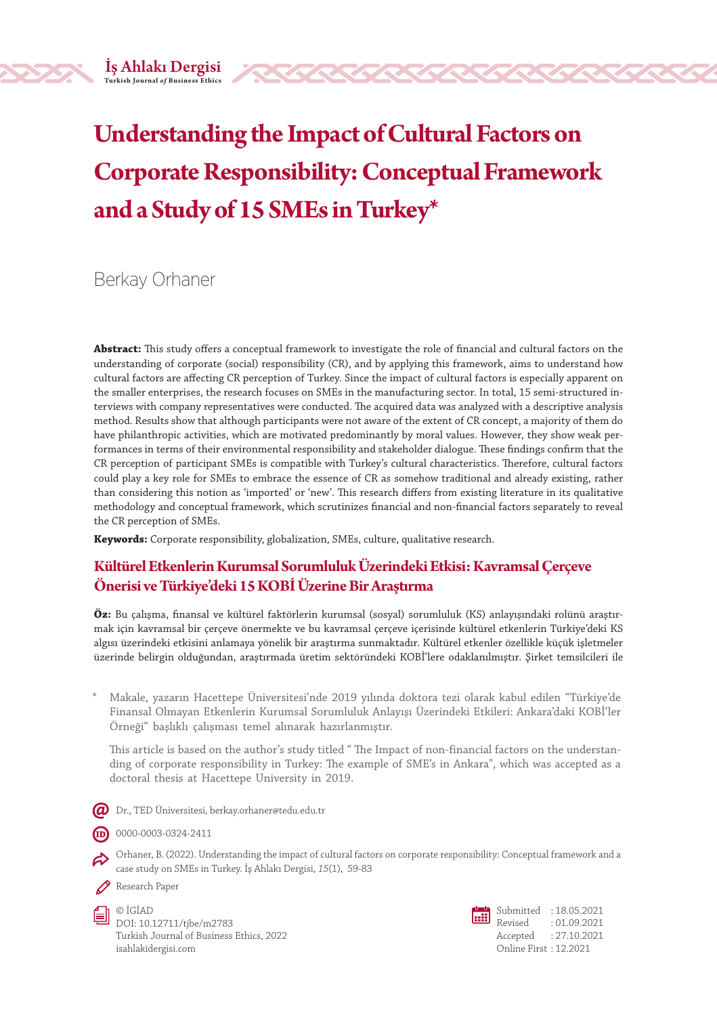# **Understanding the Impact of Cultural Factors on Corporate Responsibility: Conceptual Framework and a Study of 15 SMEs in Turkey\***

Berkay Orhaner

**Abstract:** This study offers a conceptual framework to investigate the role of financial and cultural factors on the understanding of corporate (social) responsibility (CR), and by applying this framework, aims to understand how cultural factors are affecting CR perception of Turkey. Since the impact of cultural factors is especially apparent on the smaller enterprises, the research focuses on SMEs in the manufacturing sector. In total, 15 semi-structured interviews with company representatives were conducted. The acquired data was analyzed with a descriptive analysis method. Results show that although participants were not aware of the extent of CR concept, a majority of them do have philanthropic activities, which are motivated predominantly by moral values. However, they show weak performances in terms of their environmental responsibility and stakeholder dialogue. These findings confirm that the CR perception of participant SMEs is compatible with Turkey's cultural characteristics. Therefore, cultural factors could play a key role for SMEs to embrace the essence of CR as somehow traditional and already existing, rather than considering this notion as 'imported' or 'new'. This research differs from existing literature in its qualitative methodology and conceptual framework, which scrutinizes financial and non-financial factors separately to reveal the CR perception of SMEs.

**Keywords:** Corporate responsibility, globalization, SMEs, culture, qualitative research.

#### **Kültürel Etkenlerin Kurumsal Sorumluluk Üzerindeki Etkisi: Kavramsal Çerçeve Önerisi ve Türkiye'deki 15 KOBİ Üzerine Bir Araştırma**

**Öz:** Bu çalışma, finansal ve kültürel faktörlerin kurumsal (sosyal) sorumluluk (KS) anlayışındaki rolünü araştırmak için kavramsal bir çerçeve önermekte ve bu kavramsal çerçeve içerisinde kültürel etkenlerin Türkiye'deki KS algısı üzerindeki etkisini anlamaya yönelik bir araştırma sunmaktadır. Kültürel etkenler özellikle küçük işletmeler üzerinde belirgin olduğundan, araştırmada üretim sektöründeki KOBİ'lere odaklanılmıştır. Şirket temsilcileri ile

\* Makale, yazarın Hacettepe Üniversitesi'nde 2019 yılında doktora tezi olarak kabul edilen "Türkiye'de Finansal Olmayan Etkenlerin Kurumsal Sorumluluk Anlayışı Üzerindeki Etkileri: Ankara'daki KOBİ'ler Örneği" başlıklı çalışması temel alınarak hazırlanmıştır.

This article is based on the author's study titled " The Impact of non-financial factors on the understanding of corporate responsibility in Turkey: The example of SME's in Ankara", which was accepted as a doctoral thesis at Hacettepe University in 2019.

 $\bm{Q}$  Dr., TED Üniversitesi, berkay.orhaner@tedu.edu.tr

0000-0003-0324-2411

- Orhaner, B. (2022). Understanding the impact of cultural factors on corporate responsibility: Conceptual framework and a case study on SMEs in Turkey. İş Ahlakı Dergisi, *15*(1), 59-83
- Research Paper
	- © İGİAD DOI: 10.12711/tjbe/m2783 Turkish Journal of Business Ethics, 2022 isahlakidergisi.com

Submitted : 18.05.2021 Revised : 01.09.2021 Accepted : 27.10.2021 Online First : 12.2021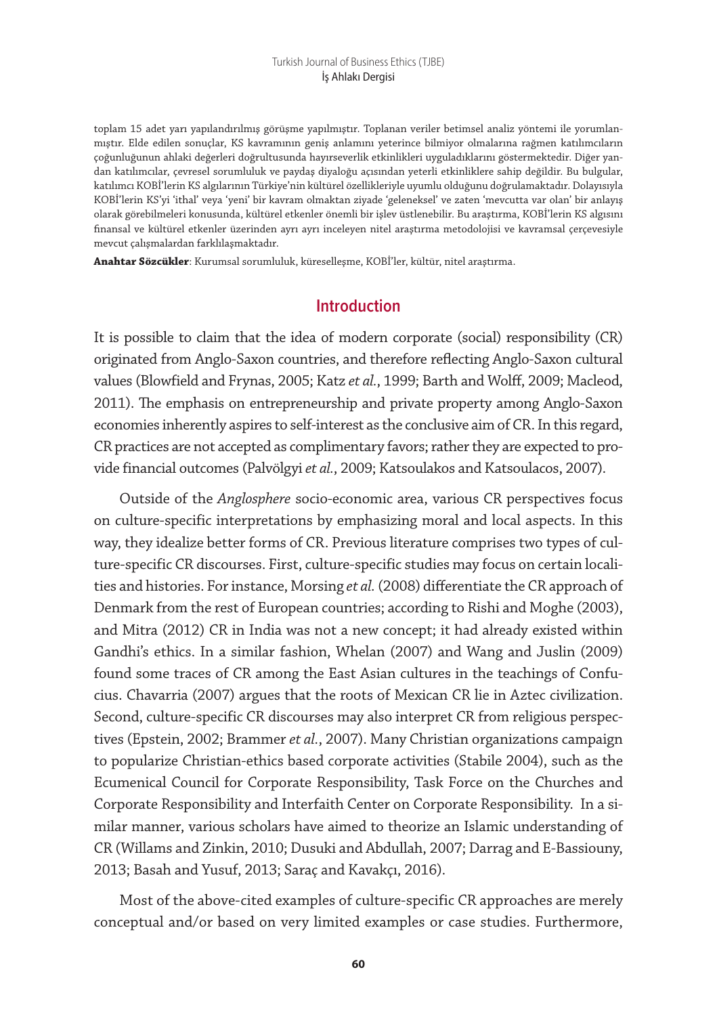#### Turkish Journal of Business Ethics (TJBE) İş Ahlakı Dergisi

toplam 15 adet yarı yapılandırılmış görüşme yapılmıştır. Toplanan veriler betimsel analiz yöntemi ile yorumlanmıştır. Elde edilen sonuçlar, KS kavramının geniş anlamını yeterince bilmiyor olmalarına rağmen katılımcıların çoğunluğunun ahlaki değerleri doğrultusunda hayırseverlik etkinlikleri uyguladıklarını göstermektedir. Diğer yandan katılımcılar, çevresel sorumluluk ve paydaş diyaloğu açısından yeterli etkinliklere sahip değildir. Bu bulgular, katılımcı KOBİ'lerin KS algılarının Türkiye'nin kültürel özellikleriyle uyumlu olduğunu doğrulamaktadır. Dolayısıyla KOBİ'lerin KS'yi 'ithal' veya 'yeni' bir kavram olmaktan ziyade 'geleneksel' ve zaten 'mevcutta var olan' bir anlayış olarak görebilmeleri konusunda, kültürel etkenler önemli bir işlev üstlenebilir. Bu araştırma, KOBİ'lerin KS algısını finansal ve kültürel etkenler üzerinden ayrı ayrı inceleyen nitel araştırma metodolojisi ve kavramsal çerçevesiyle mevcut çalışmalardan farklılaşmaktadır.

**Anahtar Sözcükler**: Kurumsal sorumluluk, küreselleşme, KOBİ'ler, kültür, nitel araştırma.

#### **Introduction**

It is possible to claim that the idea of modern corporate (social) responsibility (CR) originated from Anglo-Saxon countries, and therefore reflecting Anglo-Saxon cultural values (Blowfield and Frynas, 2005; Katz *et al.*, 1999; Barth and Wolff, 2009; Macleod, 2011). The emphasis on entrepreneurship and private property among Anglo-Saxon economies inherently aspires to self-interest as the conclusive aim of CR. In this regard, CR practices are not accepted as complimentary favors; rather they are expected to provide financial outcomes (Palvölgyi *et al.*, 2009; Katsoulakos and Katsoulacos, 2007).

Outside of the *Anglosphere* socio-economic area, various CR perspectives focus on culture-specific interpretations by emphasizing moral and local aspects. In this way, they idealize better forms of CR. Previous literature comprises two types of culture-specific CR discourses. First, culture-specific studies may focus on certain localities and histories. For instance, Morsing *et al.* (2008) differentiate the CR approach of Denmark from the rest of European countries; according to Rishi and Moghe (2003), and Mitra (2012) CR in India was not a new concept; it had already existed within Gandhi's ethics. In a similar fashion, Whelan (2007) and Wang and Juslin (2009) found some traces of CR among the East Asian cultures in the teachings of Confucius. Chavarria (2007) argues that the roots of Mexican CR lie in Aztec civilization. Second, culture-specific CR discourses may also interpret CR from religious perspectives (Epstein, 2002; Brammer *et al.*, 2007). Many Christian organizations campaign to popularize Christian-ethics based corporate activities (Stabile 2004), such as the Ecumenical Council for Corporate Responsibility, Task Force on the Churches and Corporate Responsibility and Interfaith Center on Corporate Responsibility. In a similar manner, various scholars have aimed to theorize an Islamic understanding of CR (Willams and Zinkin, 2010; Dusuki and Abdullah, 2007; Darrag and E-Bassiouny, 2013; Basah and Yusuf, 2013; Saraç and Kavakçı, 2016).

Most of the above-cited examples of culture-specific CR approaches are merely conceptual and/or based on very limited examples or case studies. Furthermore,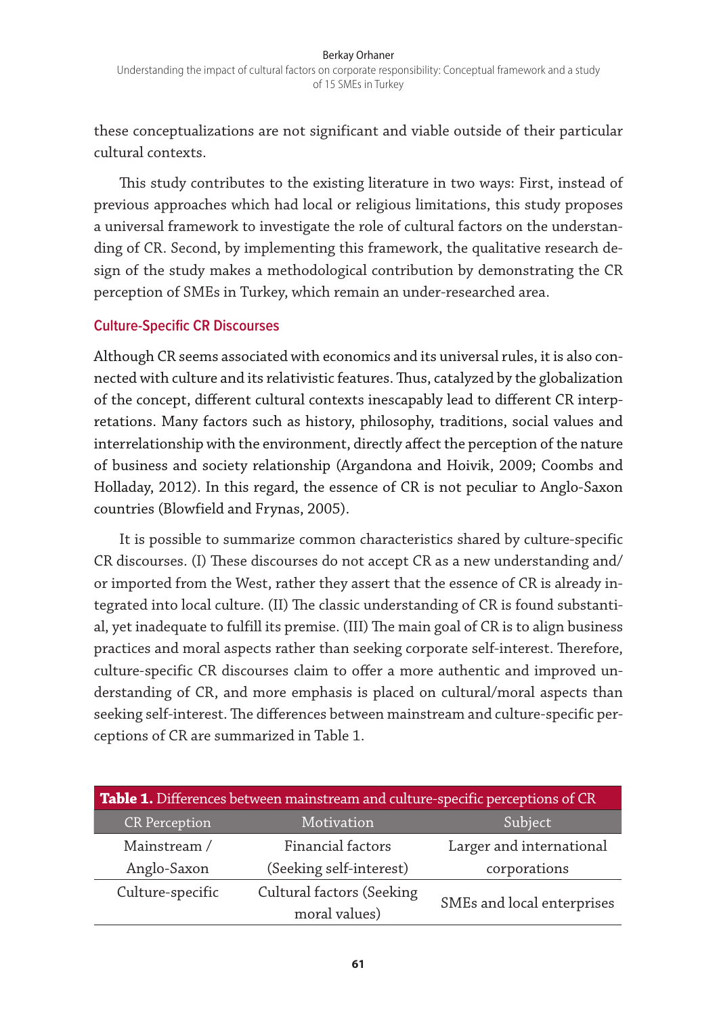these conceptualizations are not significant and viable outside of their particular cultural contexts.

This study contributes to the existing literature in two ways: First, instead of previous approaches which had local or religious limitations, this study proposes a universal framework to investigate the role of cultural factors on the understanding of CR. Second, by implementing this framework, the qualitative research design of the study makes a methodological contribution by demonstrating the CR perception of SMEs in Turkey, which remain an under-researched area.

#### **Culture-Specific CR Discourses**

Although CR seems associated with economics and its universal rules, it is also connected with culture and its relativistic features. Thus, catalyzed by the globalization of the concept, different cultural contexts inescapably lead to different CR interpretations. Many factors such as history, philosophy, traditions, social values and interrelationship with the environment, directly affect the perception of the nature of business and society relationship (Argandona and Hoivik, 2009; Coombs and Holladay, 2012). In this regard, the essence of CR is not peculiar to Anglo-Saxon countries (Blowfield and Frynas, 2005).

It is possible to summarize common characteristics shared by culture-specific CR discourses. (I) These discourses do not accept CR as a new understanding and/ or imported from the West, rather they assert that the essence of CR is already integrated into local culture. (II) The classic understanding of CR is found substantial, yet inadequate to fulfill its premise. (III) The main goal of CR is to align business practices and moral aspects rather than seeking corporate self-interest. Therefore, culture-specific CR discourses claim to offer a more authentic and improved understanding of CR, and more emphasis is placed on cultural/moral aspects than seeking self-interest. The differences between mainstream and culture-specific perceptions of CR are summarized in Table 1.

| Table 1. Differences between mainstream and culture-specific perceptions of CR |                            |                          |  |  |  |
|--------------------------------------------------------------------------------|----------------------------|--------------------------|--|--|--|
| <b>CR</b> Perception                                                           | Motivation                 | Subject                  |  |  |  |
| Mainstream /                                                                   | Financial factors          | Larger and international |  |  |  |
| Anglo-Saxon                                                                    | (Seeking self-interest)    | corporations             |  |  |  |
| Culture-specific                                                               | Cultural factors (Seeking  |                          |  |  |  |
|                                                                                | SMEs and local enterprises |                          |  |  |  |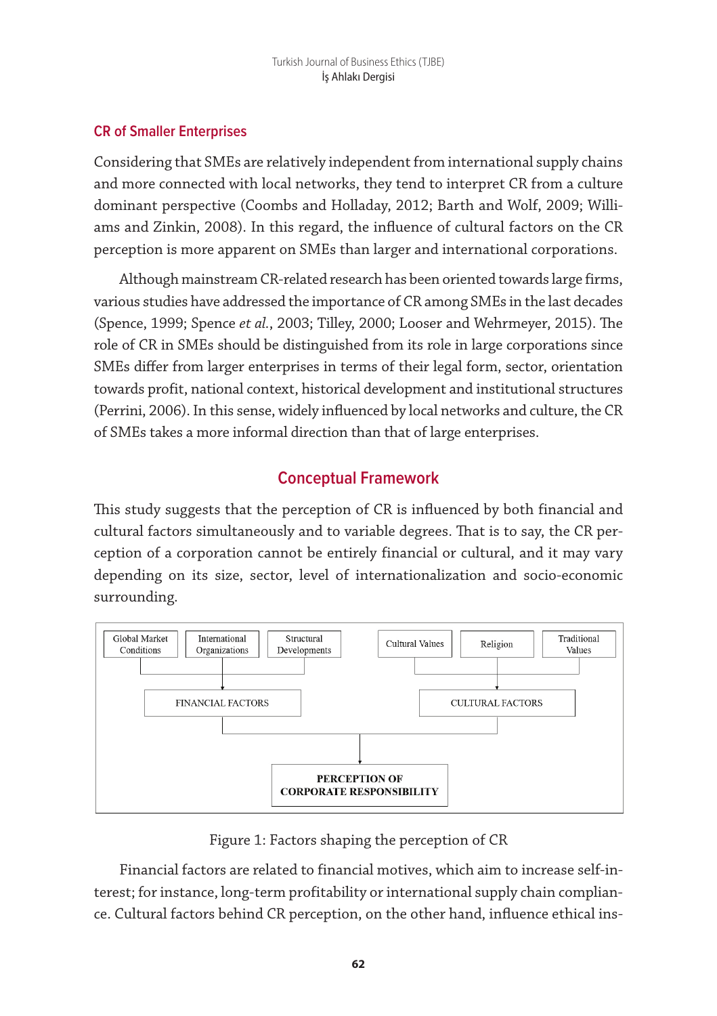### **CR of Smaller Enterprises**

Considering that SMEs are relatively independent from international supply chains and more connected with local networks, they tend to interpret CR from a culture dominant perspective (Coombs and Holladay, 2012; Barth and Wolf, 2009; Williams and Zinkin, 2008). In this regard, the influence of cultural factors on the CR perception is more apparent on SMEs than larger and international corporations.

Although mainstream CR-related research has been oriented towards large firms, various studies have addressed the importance of CR among SMEs in the last decades (Spence, 1999; Spence *et al.*, 2003; Tilley, 2000; Looser and Wehrmeyer, 2015). The role of CR in SMEs should be distinguished from its role in large corporations since SMEs differ from larger enterprises in terms of their legal form, sector, orientation towards profit, national context, historical development and institutional structures (Perrini, 2006). In this sense, widely influenced by local networks and culture, the CR of SMEs takes a more informal direction than that of large enterprises.

# **Conceptual Framework**

This study suggests that the perception of CR is influenced by both financial and cultural factors simultaneously and to variable degrees. That is to say, the CR perception of a corporation cannot be entirely financial or cultural, and it may vary depending on its size, sector, level of internationalization and socio-economic surrounding.



Figure 1: Factors shaping the perception of CR

Financial factors are related to financial motives, which aim to increase self-interest; for instance, long-term profitability or international supply chain compliance. Cultural factors behind CR perception, on the other hand, influence ethical ins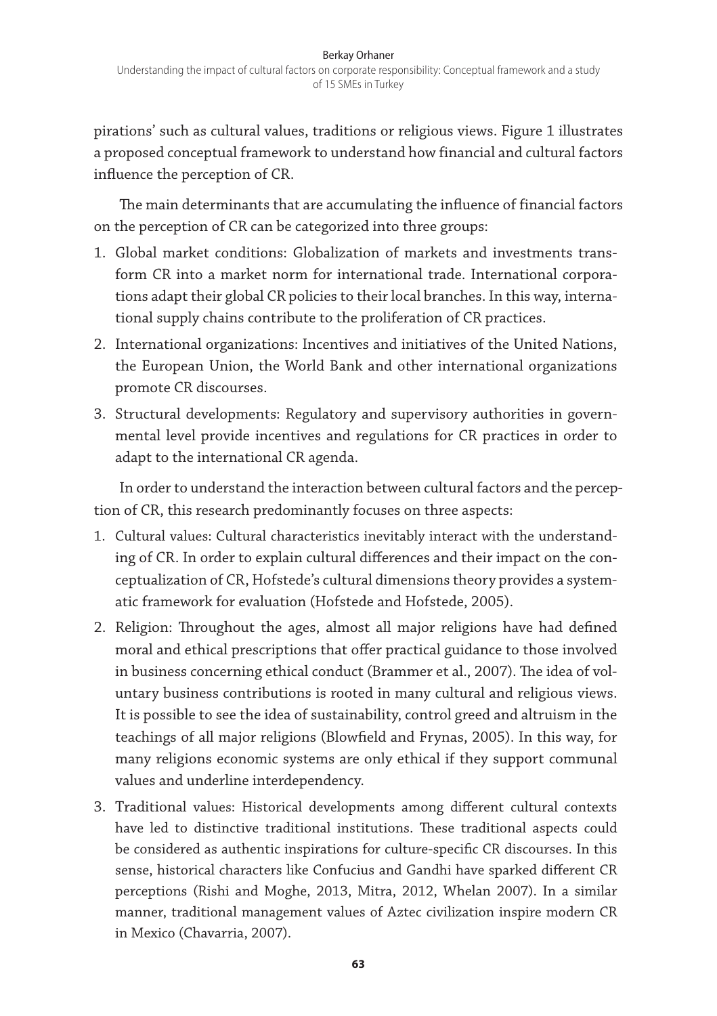pirations' such as cultural values, traditions or religious views. Figure 1 illustrates a proposed conceptual framework to understand how financial and cultural factors influence the perception of CR.

The main determinants that are accumulating the influence of financial factors on the perception of CR can be categorized into three groups:

- 1. Global market conditions: Globalization of markets and investments transform CR into a market norm for international trade. International corporations adapt their global CR policies to their local branches. In this way, international supply chains contribute to the proliferation of CR practices.
- 2. International organizations: Incentives and initiatives of the United Nations, the European Union, the World Bank and other international organizations promote CR discourses.
- 3. Structural developments: Regulatory and supervisory authorities in governmental level provide incentives and regulations for CR practices in order to adapt to the international CR agenda.

In order to understand the interaction between cultural factors and the perception of CR, this research predominantly focuses on three aspects:

- 1. Cultural values: Cultural characteristics inevitably interact with the understanding of CR. In order to explain cultural differences and their impact on the conceptualization of CR, Hofstede's cultural dimensions theory provides a systematic framework for evaluation (Hofstede and Hofstede, 2005).
- 2. Religion: Throughout the ages, almost all major religions have had defined moral and ethical prescriptions that offer practical guidance to those involved in business concerning ethical conduct (Brammer et al., 2007). The idea of voluntary business contributions is rooted in many cultural and religious views. It is possible to see the idea of sustainability, control greed and altruism in the teachings of all major religions (Blowfield and Frynas, 2005). In this way, for many religions economic systems are only ethical if they support communal values and underline interdependency.
- 3. Traditional values: Historical developments among different cultural contexts have led to distinctive traditional institutions. These traditional aspects could be considered as authentic inspirations for culture-specific CR discourses. In this sense, historical characters like Confucius and Gandhi have sparked different CR perceptions (Rishi and Moghe, 2013, Mitra, 2012, Whelan 2007). In a similar manner, traditional management values of Aztec civilization inspire modern CR in Mexico (Chavarria, 2007).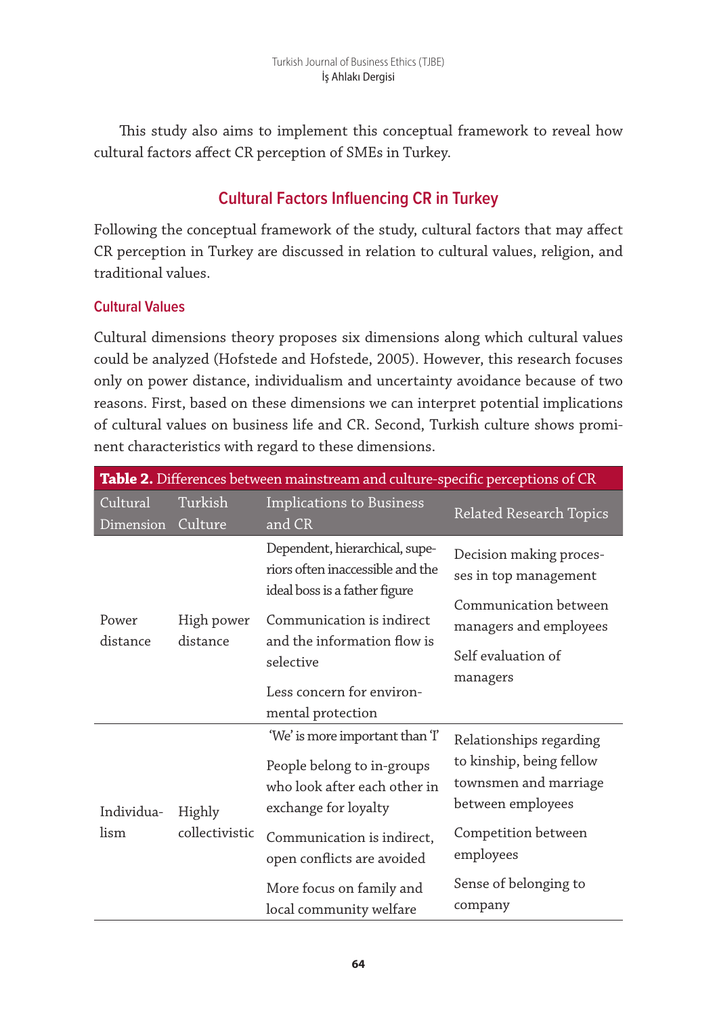This study also aims to implement this conceptual framework to reveal how cultural factors affect CR perception of SMEs in Turkey.

# **Cultural Factors Influencing CR in Turkey**

Following the conceptual framework of the study, cultural factors that may affect CR perception in Turkey are discussed in relation to cultural values, religion, and traditional values.

## **Cultural Values**

Cultural dimensions theory proposes six dimensions along which cultural values could be analyzed (Hofstede and Hofstede, 2005). However, this research focuses only on power distance, individualism and uncertainty avoidance because of two reasons. First, based on these dimensions we can interpret potential implications of cultural values on business life and CR. Second, Turkish culture shows prominent characteristics with regard to these dimensions.

| Table 2. Differences between mainstream and culture-specific perceptions of CR |                          |                                                                                                                                                                                                                                        |                                                                                                                                                                           |  |  |  |  |  |
|--------------------------------------------------------------------------------|--------------------------|----------------------------------------------------------------------------------------------------------------------------------------------------------------------------------------------------------------------------------------|---------------------------------------------------------------------------------------------------------------------------------------------------------------------------|--|--|--|--|--|
| Cultural<br>Dimension                                                          | Turkish<br>Culture       | Implications to Business<br>and CR                                                                                                                                                                                                     | <b>Related Research Topics</b>                                                                                                                                            |  |  |  |  |  |
| Power<br>distance                                                              | High power<br>distance   | Dependent, hierarchical, supe-<br>riors often inaccessible and the<br>ideal boss is a father figure<br>Communication is indirect<br>and the information flow is<br>selective<br>Less concern for environ-<br>mental protection         | Decision making proces-<br>ses in top management<br>Communication between<br>managers and employees<br>Self evaluation of<br>managers                                     |  |  |  |  |  |
| Individua-<br>lism                                                             | Highly<br>collectivistic | 'We' is more important than T<br>People belong to in-groups<br>who look after each other in<br>exchange for loyalty<br>Communication is indirect,<br>open conflicts are avoided<br>More focus on family and<br>local community welfare | Relationships regarding<br>to kinship, being fellow<br>townsmen and marriage<br>between employees<br>Competition between<br>employees<br>Sense of belonging to<br>company |  |  |  |  |  |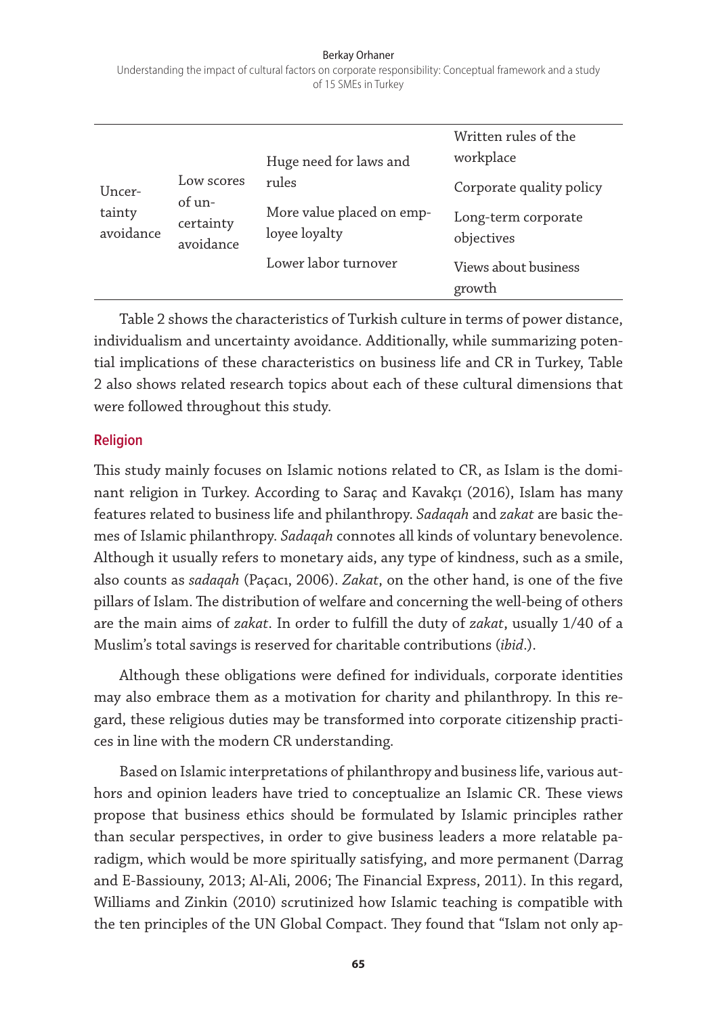#### Berkay Orhaner Understanding the impact of cultural factors on corporate responsibility: Conceptual framework and a study of 15 SMEs in Turkey

| Uncer-<br>tainty<br>avoidance | Low scores                       | Huge need for laws and<br>rules            | Written rules of the<br>workplace<br>Corporate quality policy |  |  |
|-------------------------------|----------------------------------|--------------------------------------------|---------------------------------------------------------------|--|--|
|                               | of un-<br>certainty<br>avoidance | More value placed on emp-<br>loyee loyalty | Long-term corporate<br>objectives                             |  |  |
|                               |                                  | Lower labor turnover                       | Views about business<br>growth                                |  |  |

Table 2 shows the characteristics of Turkish culture in terms of power distance, individualism and uncertainty avoidance. Additionally, while summarizing potential implications of these characteristics on business life and CR in Turkey, Table 2 also shows related research topics about each of these cultural dimensions that were followed throughout this study.

#### **Religion**

This study mainly focuses on Islamic notions related to CR, as Islam is the dominant religion in Turkey. According to Saraç and Kavakçı (2016), Islam has many features related to business life and philanthropy. *Sadaqah* and *zakat* are basic themes of Islamic philanthropy. *Sadaqah* connotes all kinds of voluntary benevolence. Although it usually refers to monetary aids, any type of kindness, such as a smile, also counts as *sadaqah* (Paçacı, 2006). *Zakat*, on the other hand, is one of the five pillars of Islam. The distribution of welfare and concerning the well-being of others are the main aims of *zakat*. In order to fulfill the duty of *zakat*, usually 1/40 of a Muslim's total savings is reserved for charitable contributions (*ibid*.).

Although these obligations were defined for individuals, corporate identities may also embrace them as a motivation for charity and philanthropy. In this regard, these religious duties may be transformed into corporate citizenship practices in line with the modern CR understanding.

Based on Islamic interpretations of philanthropy and business life, various authors and opinion leaders have tried to conceptualize an Islamic CR. These views propose that business ethics should be formulated by Islamic principles rather than secular perspectives, in order to give business leaders a more relatable paradigm, which would be more spiritually satisfying, and more permanent (Darrag and E-Bassiouny, 2013; Al-Ali, 2006; The Financial Express, 2011). In this regard, Williams and Zinkin (2010) scrutinized how Islamic teaching is compatible with the ten principles of the UN Global Compact. They found that "Islam not only ap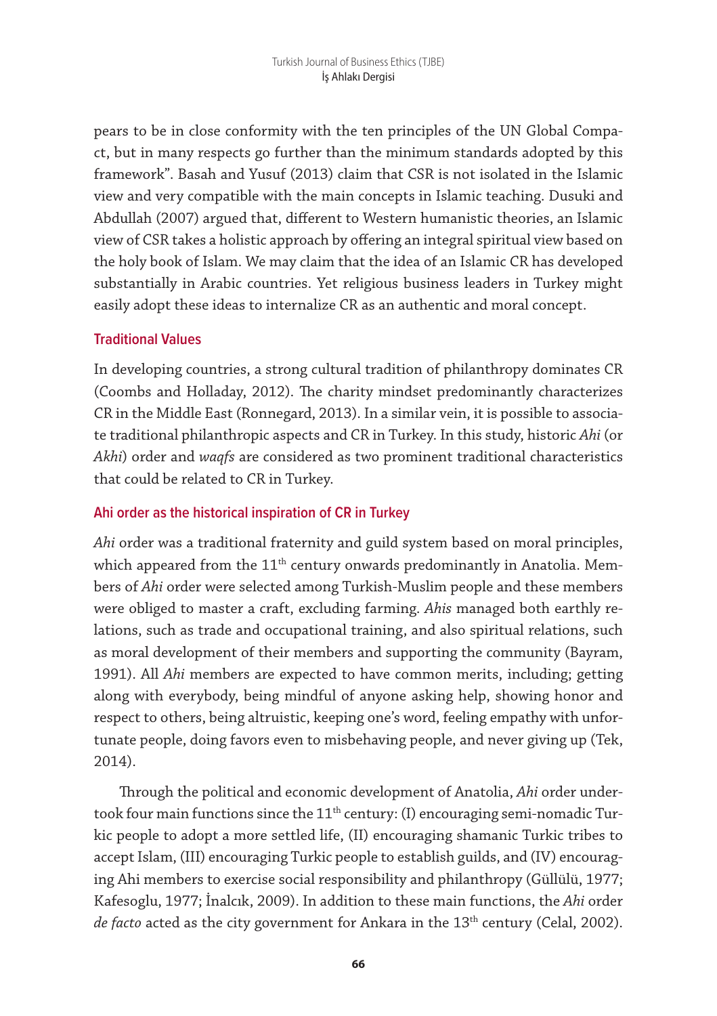pears to be in close conformity with the ten principles of the UN Global Compact, but in many respects go further than the minimum standards adopted by this framework". Basah and Yusuf (2013) claim that CSR is not isolated in the Islamic view and very compatible with the main concepts in Islamic teaching. Dusuki and Abdullah (2007) argued that, different to Western humanistic theories, an Islamic view of CSR takes a holistic approach by offering an integral spiritual view based on the holy book of Islam. We may claim that the idea of an Islamic CR has developed substantially in Arabic countries. Yet religious business leaders in Turkey might easily adopt these ideas to internalize CR as an authentic and moral concept.

## **Traditional Values**

In developing countries, a strong cultural tradition of philanthropy dominates CR (Coombs and Holladay, 2012). The charity mindset predominantly characterizes CR in the Middle East (Ronnegard, 2013). In a similar vein, it is possible to associate traditional philanthropic aspects and CR in Turkey. In this study, historic *Ahi* (or *Akhi*) order and *waqfs* are considered as two prominent traditional characteristics that could be related to CR in Turkey.

## **Ahi order as the historical inspiration of CR in Turkey**

*Ahi* order was a traditional fraternity and guild system based on moral principles, which appeared from the  $11<sup>th</sup>$  century onwards predominantly in Anatolia. Members of *Ahi* order were selected among Turkish-Muslim people and these members were obliged to master a craft, excluding farming. *Ahis* managed both earthly relations, such as trade and occupational training, and also spiritual relations, such as moral development of their members and supporting the community (Bayram, 1991). All *Ahi* members are expected to have common merits, including; getting along with everybody, being mindful of anyone asking help, showing honor and respect to others, being altruistic, keeping one's word, feeling empathy with unfortunate people, doing favors even to misbehaving people, and never giving up (Tek, 2014).

Through the political and economic development of Anatolia, *Ahi* order undertook four main functions since the  $11<sup>th</sup>$  century: (I) encouraging semi-nomadic Turkic people to adopt a more settled life, (II) encouraging shamanic Turkic tribes to accept Islam, (III) encouraging Turkic people to establish guilds, and (IV) encouraging Ahi members to exercise social responsibility and philanthropy (Güllülü, 1977; Kafesoglu, 1977; İnalcık, 2009). In addition to these main functions, the *Ahi* order *de facto* acted as the city government for Ankara in the 13<sup>th</sup> century (Celal, 2002).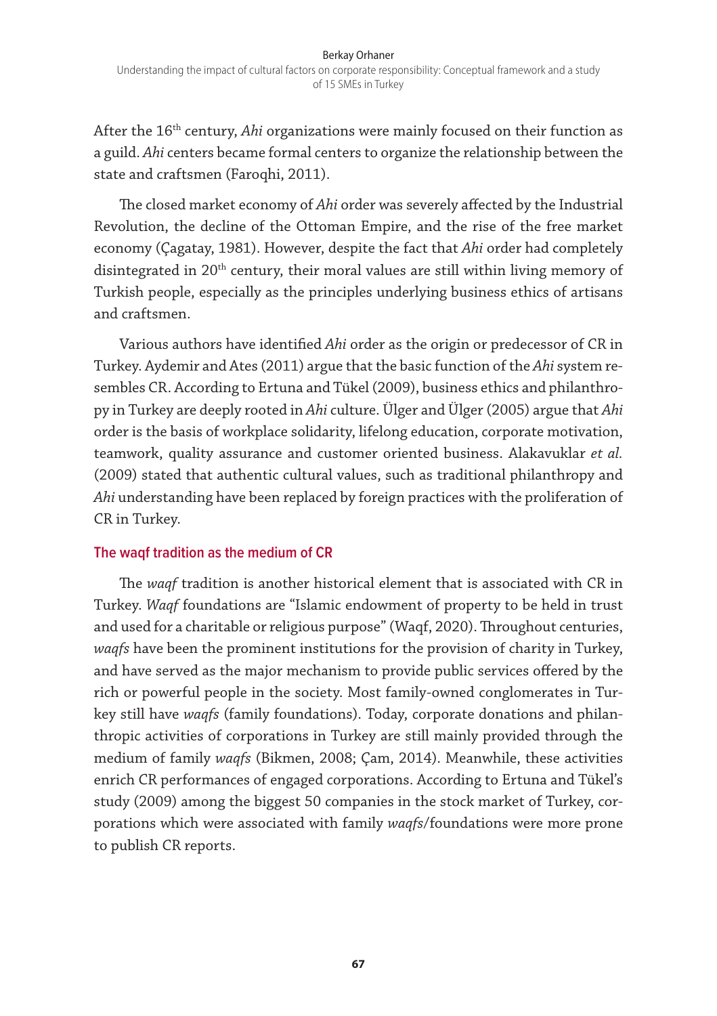After the 16<sup>th</sup> century, *Ahi* organizations were mainly focused on their function as a guild. *Ahi* centers became formal centers to organize the relationship between the state and craftsmen (Faroqhi, 2011).

The closed market economy of *Ahi* order was severely affected by the Industrial Revolution, the decline of the Ottoman Empire, and the rise of the free market economy (Çagatay, 1981). However, despite the fact that *Ahi* order had completely disintegrated in 20<sup>th</sup> century, their moral values are still within living memory of Turkish people, especially as the principles underlying business ethics of artisans and craftsmen.

Various authors have identified *Ahi* order as the origin or predecessor of CR in Turkey. Aydemir and Ates (2011) argue that the basic function of the *Ahi* system resembles CR. According to Ertuna and Tükel (2009), business ethics and philanthropy in Turkey are deeply rooted in *Ahi* culture. Ülger and Ülger (2005) argue that *Ahi* order is the basis of workplace solidarity, lifelong education, corporate motivation, teamwork, quality assurance and customer oriented business. Alakavuklar *et al.* (2009) stated that authentic cultural values, such as traditional philanthropy and *Ahi* understanding have been replaced by foreign practices with the proliferation of CR in Turkey.

#### **The waqf tradition as the medium of CR**

The *waqf* tradition is another historical element that is associated with CR in Turkey. *Waqf* foundations are "Islamic endowment of property to be held in trust and used for a charitable or religious purpose" (Waqf, 2020). Throughout centuries, *waqfs* have been the prominent institutions for the provision of charity in Turkey, and have served as the major mechanism to provide public services offered by the rich or powerful people in the society. Most family-owned conglomerates in Turkey still have *waqfs* (family foundations). Today, corporate donations and philanthropic activities of corporations in Turkey are still mainly provided through the medium of family *waqfs* (Bikmen, 2008; Çam, 2014). Meanwhile, these activities enrich CR performances of engaged corporations. According to Ertuna and Tükel's study (2009) among the biggest 50 companies in the stock market of Turkey, corporations which were associated with family *waqfs*/foundations were more prone to publish CR reports.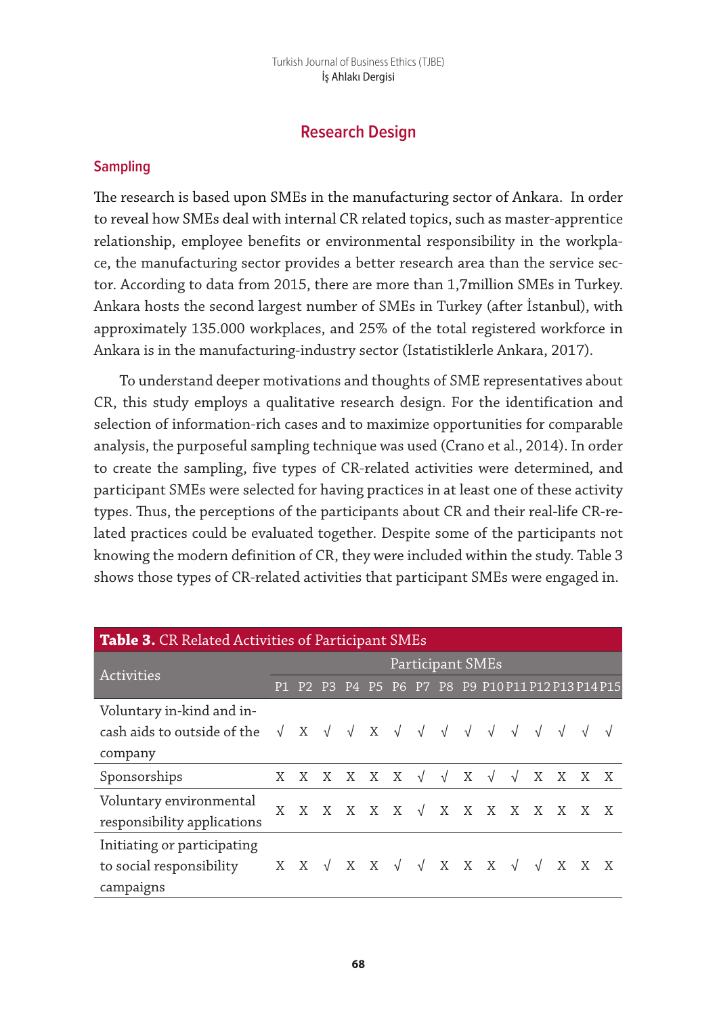# **Research Design**

#### **Sampling**

The research is based upon SMEs in the manufacturing sector of Ankara. In order to reveal how SMEs deal with internal CR related topics, such as master-apprentice relationship, employee benefits or environmental responsibility in the workplace, the manufacturing sector provides a better research area than the service sector. According to data from 2015, there are more than 1,7million SMEs in Turkey. Ankara hosts the second largest number of SMEs in Turkey (after İstanbul), with approximately 135.000 workplaces, and 25% of the total registered workforce in Ankara is in the manufacturing-industry sector (Istatistiklerle Ankara, 2017).

To understand deeper motivations and thoughts of SME representatives about CR, this study employs a qualitative research design. For the identification and selection of information-rich cases and to maximize opportunities for comparable analysis, the purposeful sampling technique was used (Crano et al., 2014). In order to create the sampling, five types of CR-related activities were determined, and participant SMEs were selected for having practices in at least one of these activity types. Thus, the perceptions of the participants about CR and their real-life CR-related practices could be evaluated together. Despite some of the participants not knowing the modern definition of CR, they were included within the study. Table 3 shows those types of CR-related activities that participant SMEs were engaged in.

| Table 3. CR Related Activities of Participant SMEs                                                                             |                  |               |  |  |  |  |  |                       |  |                                                                                                                    |            |         |  |  |
|--------------------------------------------------------------------------------------------------------------------------------|------------------|---------------|--|--|--|--|--|-----------------------|--|--------------------------------------------------------------------------------------------------------------------|------------|---------|--|--|
|                                                                                                                                | Participant SMEs |               |  |  |  |  |  |                       |  |                                                                                                                    |            |         |  |  |
| <b>Activities</b>                                                                                                              |                  | P1 P2 P3      |  |  |  |  |  |                       |  | P4 P5 P6 P7 P8 P9 P10 P11 P12 P13 P14 P15                                                                          |            |         |  |  |
| Voluntary in-kind and in-                                                                                                      |                  |               |  |  |  |  |  |                       |  |                                                                                                                    |            |         |  |  |
| cash aids to outside of the $\sqrt{X}$ $\sqrt{X}$ $\sqrt{X}$ $\sqrt{Y}$ $\sqrt{Y}$ $\sqrt{Y}$ $\sqrt{Y}$ $\sqrt{Y}$ $\sqrt{Y}$ |                  |               |  |  |  |  |  |                       |  |                                                                                                                    |            |         |  |  |
| company                                                                                                                        |                  |               |  |  |  |  |  |                       |  |                                                                                                                    |            |         |  |  |
| Sponsorships                                                                                                                   |                  | X X X X X X √ |  |  |  |  |  | $\sqrt{X}$ $\sqrt{2}$ |  |                                                                                                                    | $\sqrt{ }$ | X X X X |  |  |
| Voluntary environmental                                                                                                        |                  |               |  |  |  |  |  |                       |  | $X \quad X \quad X \quad X \quad X \quad X \quad \sqrt{X} \quad X \quad X \quad X \quad X \quad X \quad X \quad X$ |            |         |  |  |
| responsibility applications                                                                                                    |                  |               |  |  |  |  |  |                       |  |                                                                                                                    |            |         |  |  |
| Initiating or participating                                                                                                    |                  |               |  |  |  |  |  |                       |  |                                                                                                                    |            |         |  |  |
| to social responsibility                                                                                                       |                  |               |  |  |  |  |  |                       |  |                                                                                                                    |            |         |  |  |
| campaigns                                                                                                                      |                  |               |  |  |  |  |  |                       |  |                                                                                                                    |            |         |  |  |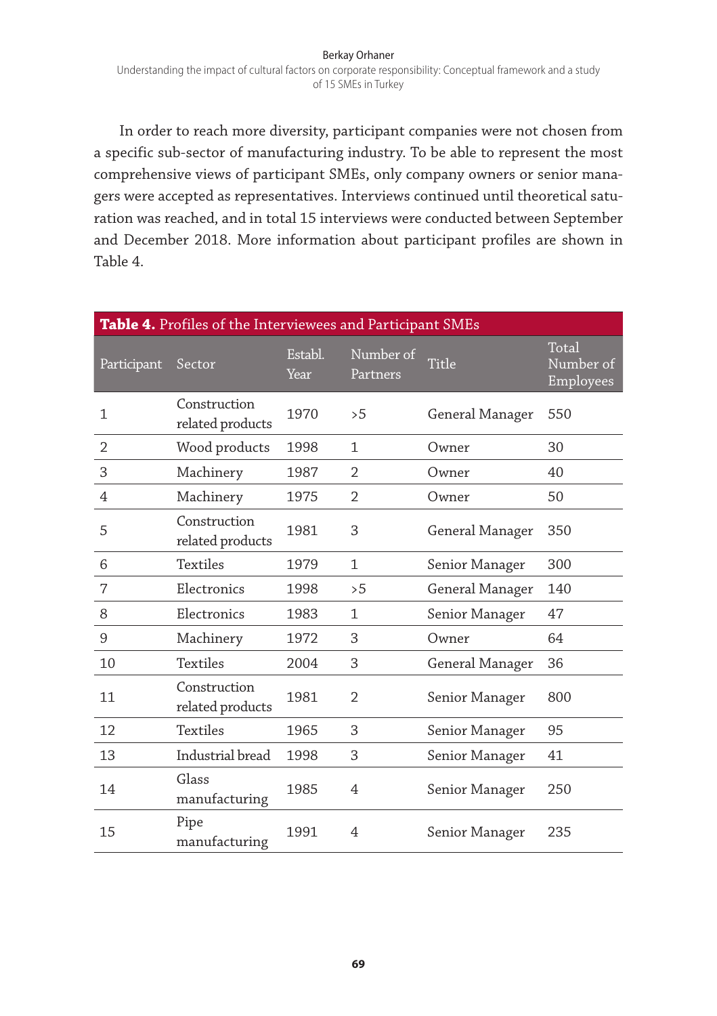#### Berkay Orhaner Understanding the impact of cultural factors on corporate responsibility: Conceptual framework and a study of 15 SMEs in Turkey

In order to reach more diversity, participant companies were not chosen from a specific sub-sector of manufacturing industry. To be able to represent the most comprehensive views of participant SMEs, only company owners or senior managers were accepted as representatives. Interviews continued until theoretical saturation was reached, and in total 15 interviews were conducted between September and December 2018. More information about participant profiles are shown in Table 4.

| Table 4. Profiles of the Interviewees and Participant SMEs |                                  |                 |                       |                 |                                 |  |  |  |
|------------------------------------------------------------|----------------------------------|-----------------|-----------------------|-----------------|---------------------------------|--|--|--|
| Participant                                                | Sector                           | Establ.<br>Year | Number of<br>Partners | Title           | Total<br>Number of<br>Employees |  |  |  |
| $\mathbf{1}$                                               | Construction<br>related products | 1970            | >5                    | General Manager | 550                             |  |  |  |
| 2                                                          | Wood products                    | 1998            | $\mathbf{1}$          | Owner           | 30                              |  |  |  |
| 3                                                          | Machinery                        | 1987            | $\overline{2}$        | Owner           | 40                              |  |  |  |
| 4                                                          | Machinery                        | 1975            | $\overline{2}$        | Owner           | 50                              |  |  |  |
| 5                                                          | Construction<br>related products | 1981            | 3                     | General Manager | 350                             |  |  |  |
| 6                                                          | Textiles                         | 1979            | $\mathbf{1}$          | Senior Manager  | 300                             |  |  |  |
| 7                                                          | Electronics                      | 1998            | >5                    | General Manager | 140                             |  |  |  |
| 8                                                          | Electronics                      | 1983            | 1                     | Senior Manager  | 47                              |  |  |  |
| 9                                                          | Machinery                        | 1972            | 3                     | Owner           | 64                              |  |  |  |
| 10                                                         | <b>Textiles</b>                  | 2004            | 3                     | General Manager | 36                              |  |  |  |
| 11                                                         | Construction<br>related products | 1981            | $\overline{2}$        | Senior Manager  | 800                             |  |  |  |
| 12                                                         | <b>Textiles</b>                  | 1965            | 3                     | Senior Manager  | 95                              |  |  |  |
| 13                                                         | Industrial bread                 | 1998            | 3                     | Senior Manager  | 41                              |  |  |  |
| 14                                                         | Glass<br>manufacturing           | 1985            | 4                     | Senior Manager  | 250                             |  |  |  |
| 15                                                         | Pipe<br>manufacturing            | 1991            | 4                     | Senior Manager  | 235                             |  |  |  |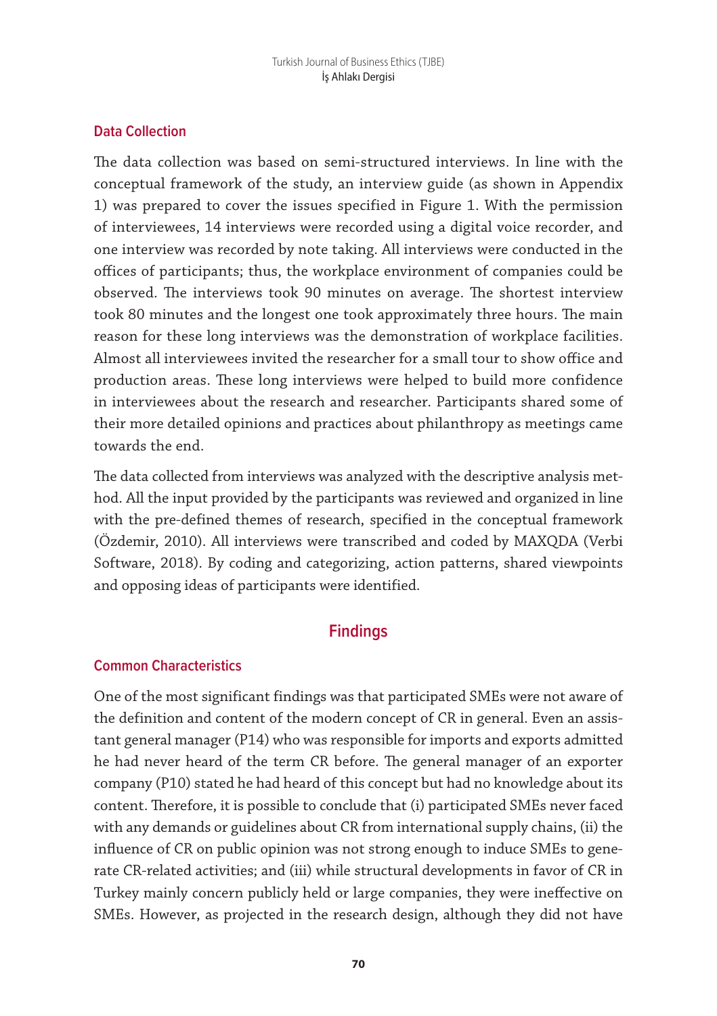## **Data Collection**

The data collection was based on semi-structured interviews. In line with the conceptual framework of the study, an interview guide (as shown in Appendix 1) was prepared to cover the issues specified in Figure 1. With the permission of interviewees, 14 interviews were recorded using a digital voice recorder, and one interview was recorded by note taking. All interviews were conducted in the offices of participants; thus, the workplace environment of companies could be observed. The interviews took 90 minutes on average. The shortest interview took 80 minutes and the longest one took approximately three hours. The main reason for these long interviews was the demonstration of workplace facilities. Almost all interviewees invited the researcher for a small tour to show office and production areas. These long interviews were helped to build more confidence in interviewees about the research and researcher. Participants shared some of their more detailed opinions and practices about philanthropy as meetings came towards the end.

The data collected from interviews was analyzed with the descriptive analysis method. All the input provided by the participants was reviewed and organized in line with the pre-defined themes of research, specified in the conceptual framework (Özdemir, 2010). All interviews were transcribed and coded by MAXQDA (Verbi Software, 2018). By coding and categorizing, action patterns, shared viewpoints and opposing ideas of participants were identified.

# **Findings**

#### **Common Characteristics**

One of the most significant findings was that participated SMEs were not aware of the definition and content of the modern concept of CR in general. Even an assistant general manager (P14) who was responsible for imports and exports admitted he had never heard of the term CR before. The general manager of an exporter company (P10) stated he had heard of this concept but had no knowledge about its content. Therefore, it is possible to conclude that (i) participated SMEs never faced with any demands or guidelines about CR from international supply chains, (ii) the influence of CR on public opinion was not strong enough to induce SMEs to generate CR-related activities; and (iii) while structural developments in favor of CR in Turkey mainly concern publicly held or large companies, they were ineffective on SMEs. However, as projected in the research design, although they did not have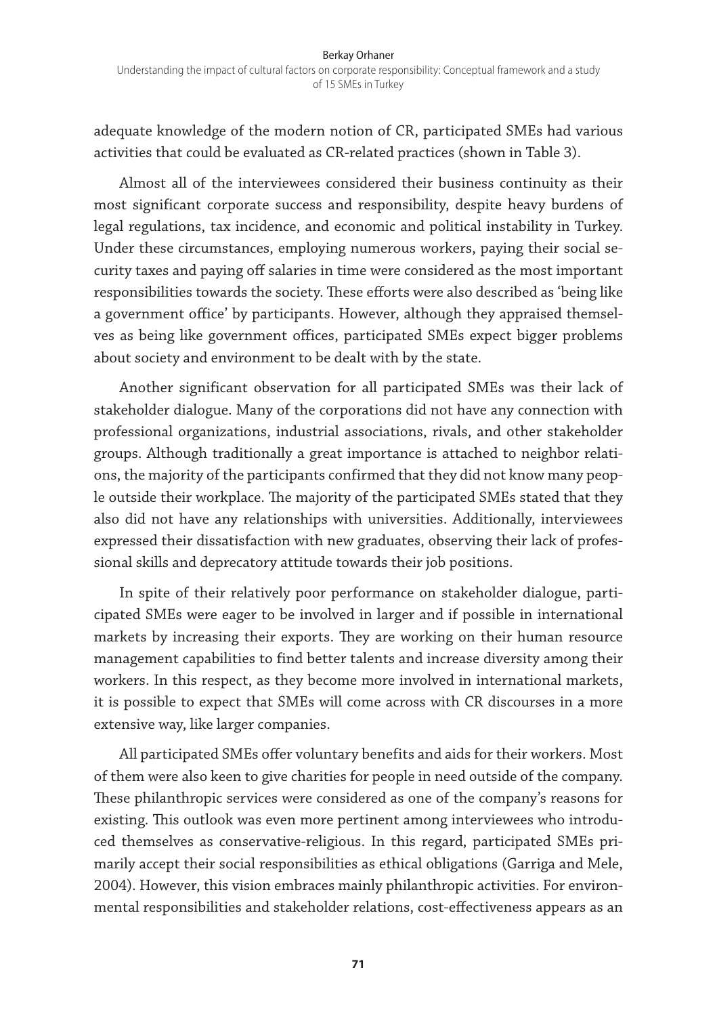adequate knowledge of the modern notion of CR, participated SMEs had various activities that could be evaluated as CR-related practices (shown in Table 3).

Almost all of the interviewees considered their business continuity as their most significant corporate success and responsibility, despite heavy burdens of legal regulations, tax incidence, and economic and political instability in Turkey. Under these circumstances, employing numerous workers, paying their social security taxes and paying off salaries in time were considered as the most important responsibilities towards the society. These efforts were also described as 'being like a government office' by participants. However, although they appraised themselves as being like government offices, participated SMEs expect bigger problems about society and environment to be dealt with by the state.

Another significant observation for all participated SMEs was their lack of stakeholder dialogue. Many of the corporations did not have any connection with professional organizations, industrial associations, rivals, and other stakeholder groups. Although traditionally a great importance is attached to neighbor relations, the majority of the participants confirmed that they did not know many people outside their workplace. The majority of the participated SMEs stated that they also did not have any relationships with universities. Additionally, interviewees expressed their dissatisfaction with new graduates, observing their lack of professional skills and deprecatory attitude towards their job positions.

In spite of their relatively poor performance on stakeholder dialogue, participated SMEs were eager to be involved in larger and if possible in international markets by increasing their exports. They are working on their human resource management capabilities to find better talents and increase diversity among their workers. In this respect, as they become more involved in international markets, it is possible to expect that SMEs will come across with CR discourses in a more extensive way, like larger companies.

All participated SMEs offer voluntary benefits and aids for their workers. Most of them were also keen to give charities for people in need outside of the company. These philanthropic services were considered as one of the company's reasons for existing. This outlook was even more pertinent among interviewees who introduced themselves as conservative-religious. In this regard, participated SMEs primarily accept their social responsibilities as ethical obligations (Garriga and Mele, 2004). However, this vision embraces mainly philanthropic activities. For environmental responsibilities and stakeholder relations, cost-effectiveness appears as an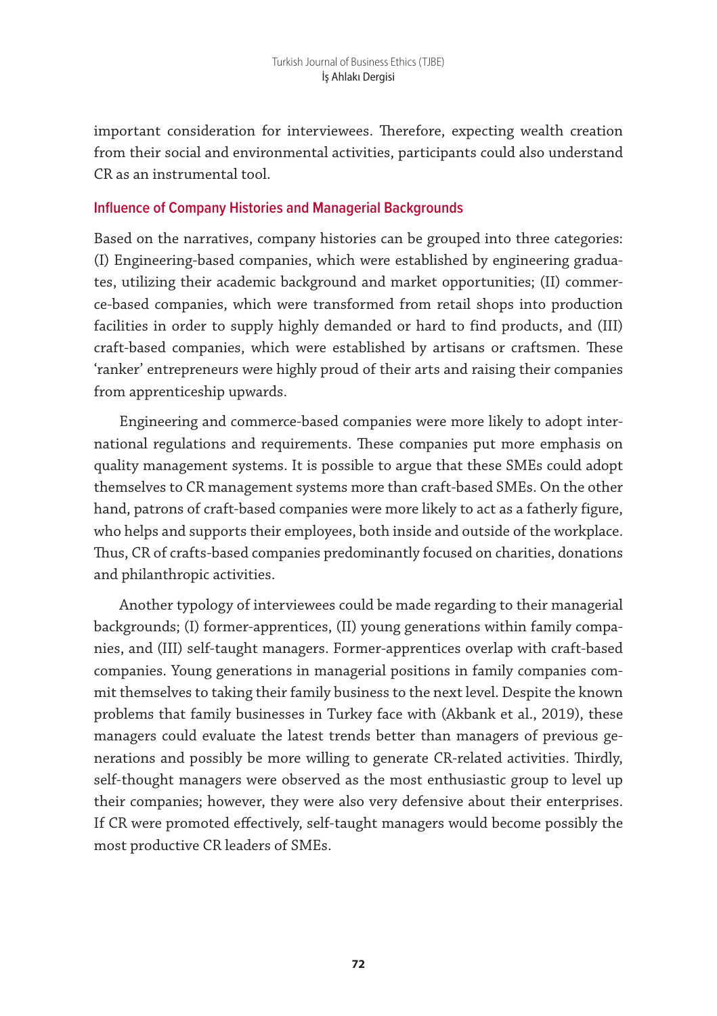important consideration for interviewees. Therefore, expecting wealth creation from their social and environmental activities, participants could also understand CR as an instrumental tool.

#### **Influence of Company Histories and Managerial Backgrounds**

Based on the narratives, company histories can be grouped into three categories: (I) Engineering-based companies, which were established by engineering graduates, utilizing their academic background and market opportunities; (II) commerce-based companies, which were transformed from retail shops into production facilities in order to supply highly demanded or hard to find products, and (III) craft-based companies, which were established by artisans or craftsmen. These 'ranker' entrepreneurs were highly proud of their arts and raising their companies from apprenticeship upwards.

Engineering and commerce-based companies were more likely to adopt international regulations and requirements. These companies put more emphasis on quality management systems. It is possible to argue that these SMEs could adopt themselves to CR management systems more than craft-based SMEs. On the other hand, patrons of craft-based companies were more likely to act as a fatherly figure, who helps and supports their employees, both inside and outside of the workplace. Thus, CR of crafts-based companies predominantly focused on charities, donations and philanthropic activities.

Another typology of interviewees could be made regarding to their managerial backgrounds; (I) former-apprentices, (II) young generations within family companies, and (III) self-taught managers. Former-apprentices overlap with craft-based companies. Young generations in managerial positions in family companies commit themselves to taking their family business to the next level. Despite the known problems that family businesses in Turkey face with (Akbank et al., 2019), these managers could evaluate the latest trends better than managers of previous generations and possibly be more willing to generate CR-related activities. Thirdly, self-thought managers were observed as the most enthusiastic group to level up their companies; however, they were also very defensive about their enterprises. If CR were promoted effectively, self-taught managers would become possibly the most productive CR leaders of SMEs.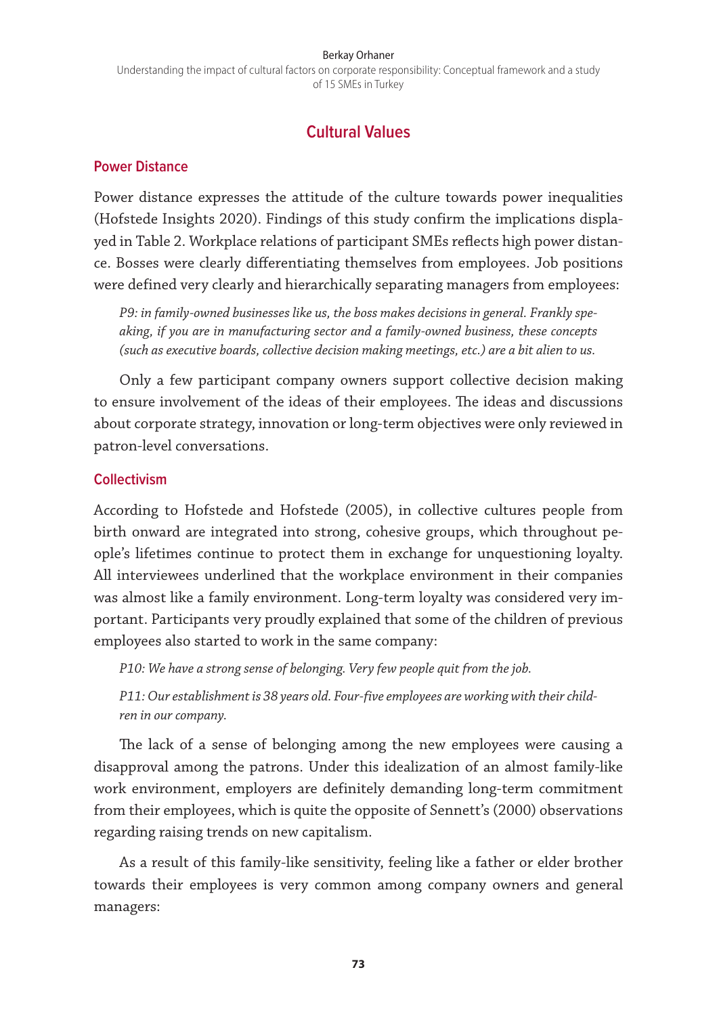#### Berkay Orhaner

Understanding the impact of cultural factors on corporate responsibility: Conceptual framework and a study of 15 SMEs in Turkey

## **Cultural Values**

#### **Power Distance**

Power distance expresses the attitude of the culture towards power inequalities (Hofstede Insights 2020). Findings of this study confirm the implications displayed in Table 2. Workplace relations of participant SMEs reflects high power distance. Bosses were clearly differentiating themselves from employees. Job positions were defined very clearly and hierarchically separating managers from employees:

*P9: in family-owned businesses like us, the boss makes decisions in general. Frankly speaking, if you are in manufacturing sector and a family-owned business, these concepts (such as executive boards, collective decision making meetings, etc.) are a bit alien to us.* 

Only a few participant company owners support collective decision making to ensure involvement of the ideas of their employees. The ideas and discussions about corporate strategy, innovation or long-term objectives were only reviewed in patron-level conversations.

#### **Collectivism**

According to Hofstede and Hofstede (2005), in collective cultures people from birth onward are integrated into strong, cohesive groups, which throughout people's lifetimes continue to protect them in exchange for unquestioning loyalty. All interviewees underlined that the workplace environment in their companies was almost like a family environment. Long-term loyalty was considered very important. Participants very proudly explained that some of the children of previous employees also started to work in the same company:

*P10: We have a strong sense of belonging. Very few people quit from the job.* 

*P11: Our establishment is 38 years old. Four-five employees are working with their children in our company.* 

The lack of a sense of belonging among the new employees were causing a disapproval among the patrons. Under this idealization of an almost family-like work environment, employers are definitely demanding long-term commitment from their employees, which is quite the opposite of Sennett's (2000) observations regarding raising trends on new capitalism.

As a result of this family-like sensitivity, feeling like a father or elder brother towards their employees is very common among company owners and general managers: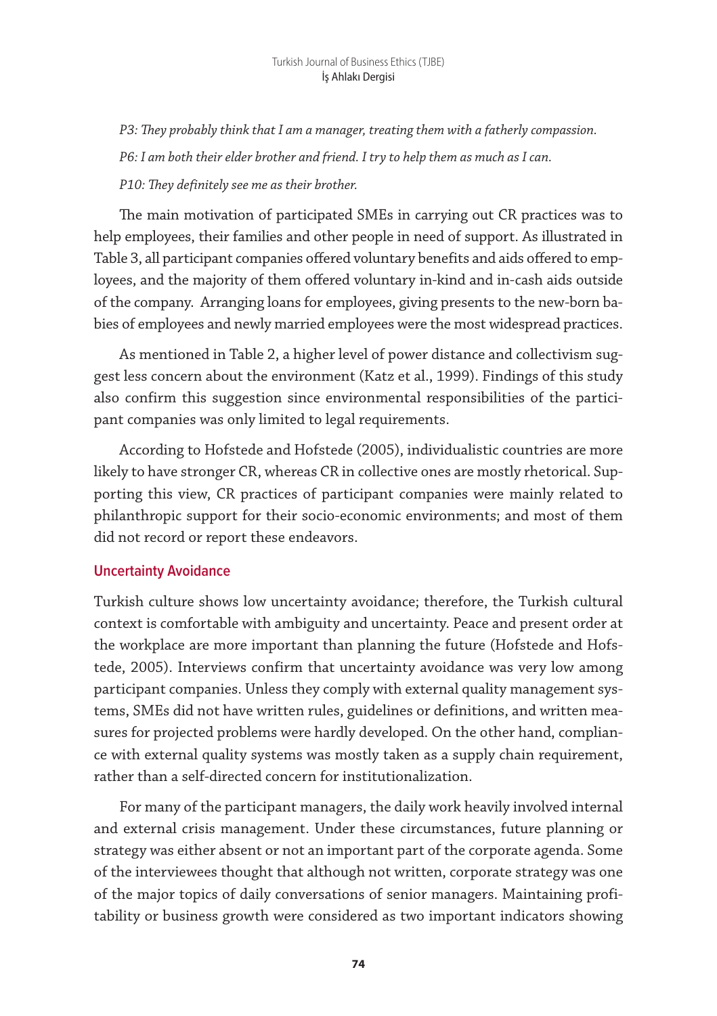*P3: They probably think that I am a manager, treating them with a fatherly compassion. P6: I am both their elder brother and friend. I try to help them as much as I can. P10: They definitely see me as their brother.*

The main motivation of participated SMEs in carrying out CR practices was to help employees, their families and other people in need of support. As illustrated in Table 3, all participant companies offered voluntary benefits and aids offered to employees, and the majority of them offered voluntary in-kind and in-cash aids outside of the company. Arranging loans for employees, giving presents to the new-born babies of employees and newly married employees were the most widespread practices.

As mentioned in Table 2, a higher level of power distance and collectivism suggest less concern about the environment (Katz et al., 1999). Findings of this study also confirm this suggestion since environmental responsibilities of the participant companies was only limited to legal requirements.

According to Hofstede and Hofstede (2005), individualistic countries are more likely to have stronger CR, whereas CR in collective ones are mostly rhetorical. Supporting this view, CR practices of participant companies were mainly related to philanthropic support for their socio-economic environments; and most of them did not record or report these endeavors.

#### **Uncertainty Avoidance**

Turkish culture shows low uncertainty avoidance; therefore, the Turkish cultural context is comfortable with ambiguity and uncertainty. Peace and present order at the workplace are more important than planning the future (Hofstede and Hofstede, 2005). Interviews confirm that uncertainty avoidance was very low among participant companies. Unless they comply with external quality management systems, SMEs did not have written rules, guidelines or definitions, and written measures for projected problems were hardly developed. On the other hand, compliance with external quality systems was mostly taken as a supply chain requirement, rather than a self-directed concern for institutionalization.

For many of the participant managers, the daily work heavily involved internal and external crisis management. Under these circumstances, future planning or strategy was either absent or not an important part of the corporate agenda. Some of the interviewees thought that although not written, corporate strategy was one of the major topics of daily conversations of senior managers. Maintaining profitability or business growth were considered as two important indicators showing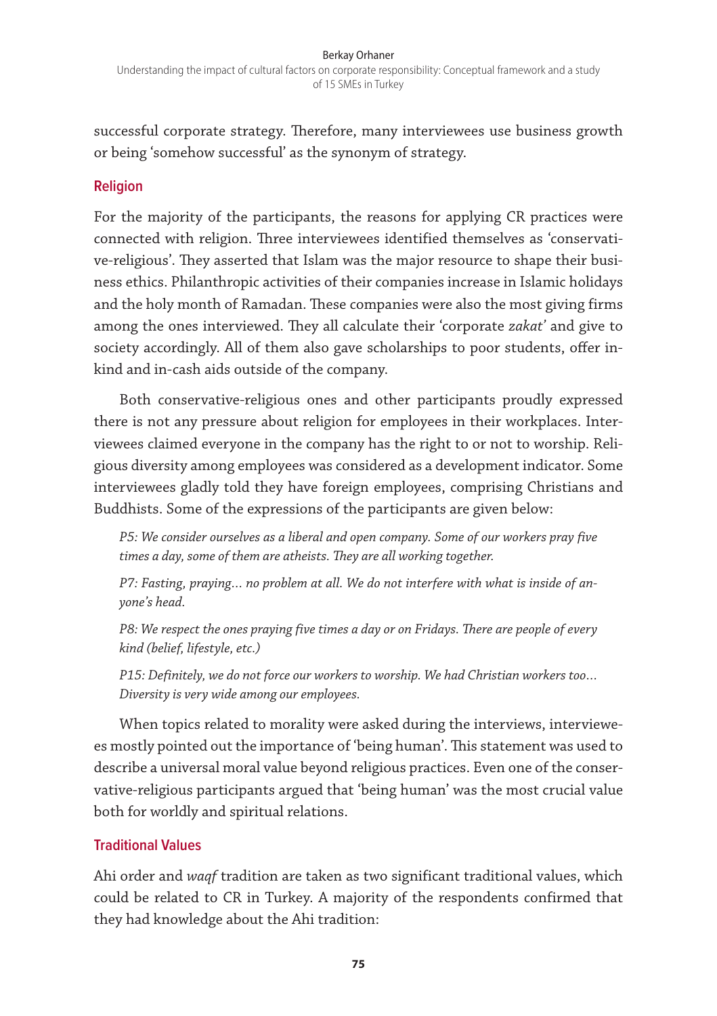successful corporate strategy. Therefore, many interviewees use business growth or being 'somehow successful' as the synonym of strategy.

### **Religion**

For the majority of the participants, the reasons for applying CR practices were connected with religion. Three interviewees identified themselves as 'conservative-religious'. They asserted that Islam was the major resource to shape their business ethics. Philanthropic activities of their companies increase in Islamic holidays and the holy month of Ramadan. These companies were also the most giving firms among the ones interviewed. They all calculate their 'corporate *zakat'* and give to society accordingly. All of them also gave scholarships to poor students, offer inkind and in-cash aids outside of the company.

Both conservative-religious ones and other participants proudly expressed there is not any pressure about religion for employees in their workplaces. Interviewees claimed everyone in the company has the right to or not to worship. Religious diversity among employees was considered as a development indicator. Some interviewees gladly told they have foreign employees, comprising Christians and Buddhists. Some of the expressions of the participants are given below:

*P5: We consider ourselves as a liberal and open company. Some of our workers pray five times a day, some of them are atheists. They are all working together.* 

*P7: Fasting, praying… no problem at all. We do not interfere with what is inside of anyone's head.* 

*P8: We respect the ones praying five times a day or on Fridays. There are people of every kind (belief, lifestyle, etc.)*

*P15: Definitely, we do not force our workers to worship. We had Christian workers too… Diversity is very wide among our employees.* 

When topics related to morality were asked during the interviews, interviewees mostly pointed out the importance of 'being human'. This statement was used to describe a universal moral value beyond religious practices. Even one of the conservative-religious participants argued that 'being human' was the most crucial value both for worldly and spiritual relations.

## **Traditional Values**

Ahi order and *waqf* tradition are taken as two significant traditional values, which could be related to CR in Turkey. A majority of the respondents confirmed that they had knowledge about the Ahi tradition: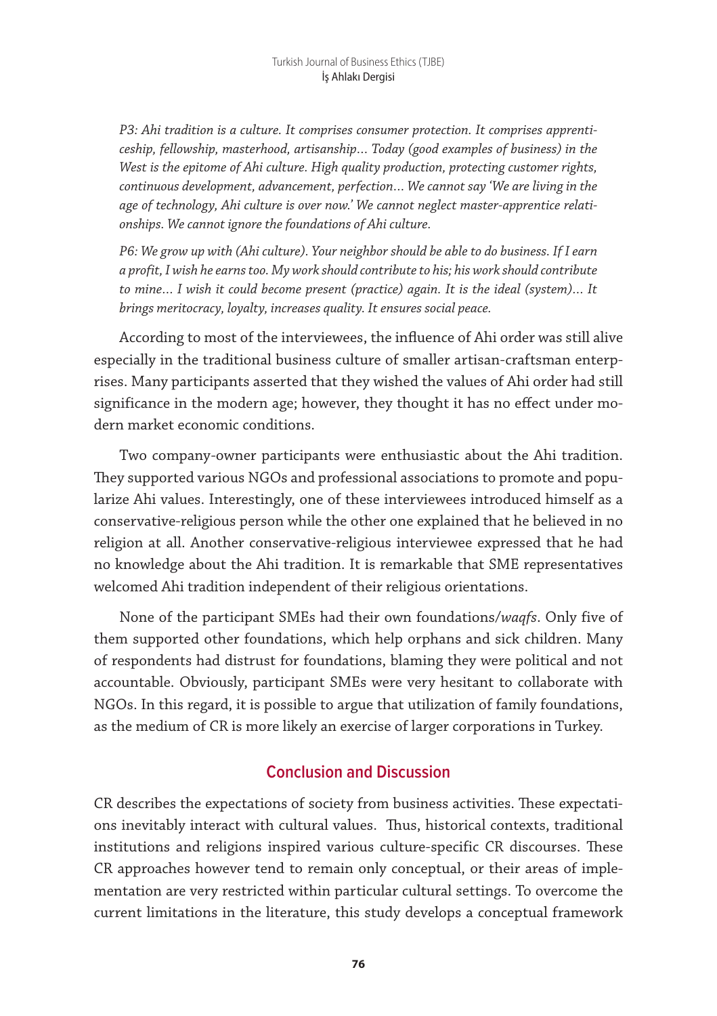*P3: Ahi tradition is a culture. It comprises consumer protection. It comprises apprenticeship, fellowship, masterhood, artisanship… Today (good examples of business) in the West is the epitome of Ahi culture. High quality production, protecting customer rights, continuous development, advancement, perfection… We cannot say 'We are living in the age of technology, Ahi culture is over now.' We cannot neglect master-apprentice relationships. We cannot ignore the foundations of Ahi culture.* 

*P6: We grow up with (Ahi culture). Your neighbor should be able to do business. If I earn a profit, I wish he earns too. My work should contribute to his; his work should contribute to mine… I wish it could become present (practice) again. It is the ideal (system)… It brings meritocracy, loyalty, increases quality. It ensures social peace.* 

According to most of the interviewees, the influence of Ahi order was still alive especially in the traditional business culture of smaller artisan-craftsman enterprises. Many participants asserted that they wished the values of Ahi order had still significance in the modern age; however, they thought it has no effect under modern market economic conditions.

Two company-owner participants were enthusiastic about the Ahi tradition. They supported various NGOs and professional associations to promote and popularize Ahi values. Interestingly, one of these interviewees introduced himself as a conservative-religious person while the other one explained that he believed in no religion at all. Another conservative-religious interviewee expressed that he had no knowledge about the Ahi tradition. It is remarkable that SME representatives welcomed Ahi tradition independent of their religious orientations.

None of the participant SMEs had their own foundations/*waqfs*. Only five of them supported other foundations, which help orphans and sick children. Many of respondents had distrust for foundations, blaming they were political and not accountable. Obviously, participant SMEs were very hesitant to collaborate with NGOs. In this regard, it is possible to argue that utilization of family foundations, as the medium of CR is more likely an exercise of larger corporations in Turkey.

# **Conclusion and Discussion**

CR describes the expectations of society from business activities. These expectations inevitably interact with cultural values. Thus, historical contexts, traditional institutions and religions inspired various culture-specific CR discourses. These CR approaches however tend to remain only conceptual, or their areas of implementation are very restricted within particular cultural settings. To overcome the current limitations in the literature, this study develops a conceptual framework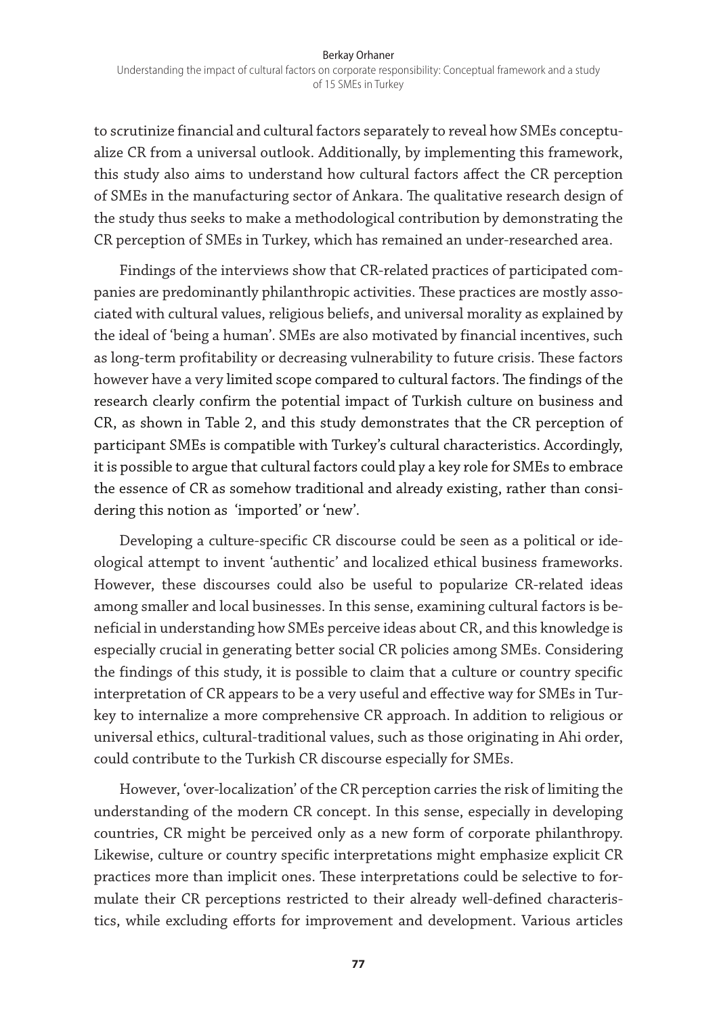to scrutinize financial and cultural factors separately to reveal how SMEs conceptualize CR from a universal outlook. Additionally, by implementing this framework, this study also aims to understand how cultural factors affect the CR perception of SMEs in the manufacturing sector of Ankara. The qualitative research design of the study thus seeks to make a methodological contribution by demonstrating the CR perception of SMEs in Turkey, which has remained an under-researched area.

Findings of the interviews show that CR-related practices of participated companies are predominantly philanthropic activities. These practices are mostly associated with cultural values, religious beliefs, and universal morality as explained by the ideal of 'being a human'. SMEs are also motivated by financial incentives, such as long-term profitability or decreasing vulnerability to future crisis. These factors however have a very limited scope compared to cultural factors. The findings of the research clearly confirm the potential impact of Turkish culture on business and CR, as shown in Table 2, and this study demonstrates that the CR perception of participant SMEs is compatible with Turkey's cultural characteristics. Accordingly, it is possible to argue that cultural factors could play a key role for SMEs to embrace the essence of CR as somehow traditional and already existing, rather than considering this notion as 'imported' or 'new'.

Developing a culture-specific CR discourse could be seen as a political or ideological attempt to invent 'authentic' and localized ethical business frameworks. However, these discourses could also be useful to popularize CR-related ideas among smaller and local businesses. In this sense, examining cultural factors is beneficial in understanding how SMEs perceive ideas about CR, and this knowledge is especially crucial in generating better social CR policies among SMEs. Considering the findings of this study, it is possible to claim that a culture or country specific interpretation of CR appears to be a very useful and effective way for SMEs in Turkey to internalize a more comprehensive CR approach. In addition to religious or universal ethics, cultural-traditional values, such as those originating in Ahi order, could contribute to the Turkish CR discourse especially for SMEs.

However, 'over-localization' of the CR perception carries the risk of limiting the understanding of the modern CR concept. In this sense, especially in developing countries, CR might be perceived only as a new form of corporate philanthropy. Likewise, culture or country specific interpretations might emphasize explicit CR practices more than implicit ones. These interpretations could be selective to formulate their CR perceptions restricted to their already well-defined characteristics, while excluding efforts for improvement and development. Various articles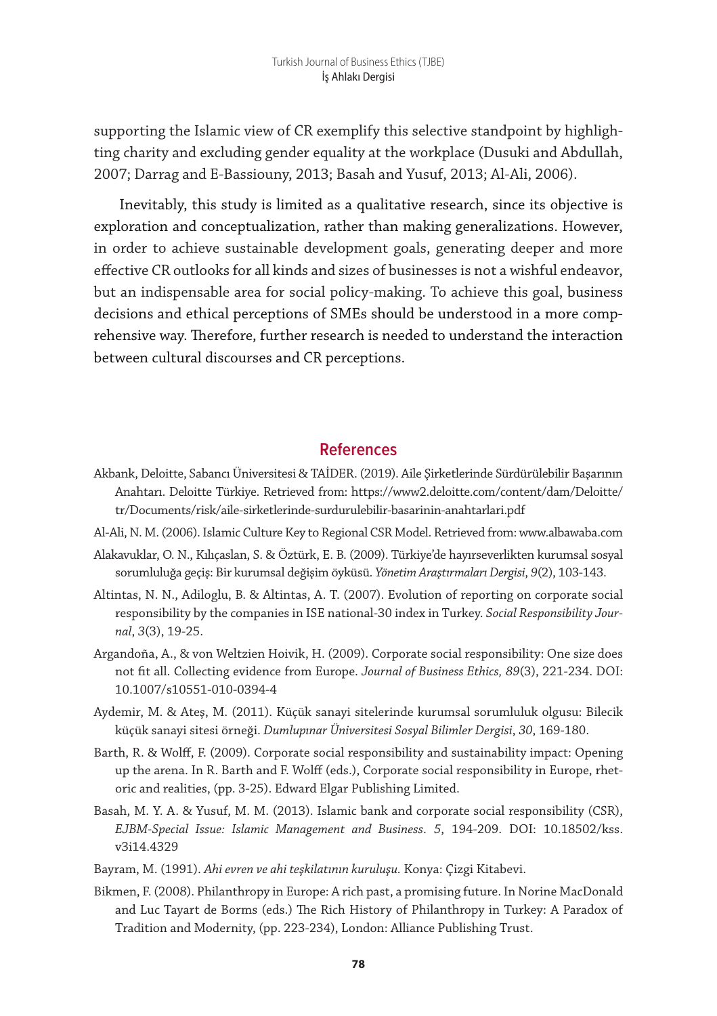supporting the Islamic view of CR exemplify this selective standpoint by highlighting charity and excluding gender equality at the workplace (Dusuki and Abdullah, 2007; Darrag and E-Bassiouny, 2013; Basah and Yusuf, 2013; Al-Ali, 2006).

Inevitably, this study is limited as a qualitative research, since its objective is exploration and conceptualization, rather than making generalizations. However, in order to achieve sustainable development goals, generating deeper and more effective CR outlooks for all kinds and sizes of businesses is not a wishful endeavor, but an indispensable area for social policy-making. To achieve this goal, business decisions and ethical perceptions of SMEs should be understood in a more comprehensive way. Therefore, further research is needed to understand the interaction between cultural discourses and CR perceptions.

#### **References**

- Akbank, Deloitte, Sabancı Üniversitesi & TAİDER. (2019). Aile Şirketlerinde Sürdürülebilir Başarının Anahtarı. Deloitte Türkiye. Retrieved from: https://www2.deloitte.com/content/dam/Deloitte/ tr/Documents/risk/aile-sirketlerinde-surdurulebilir-basarinin-anahtarlari.pdf
- Al-Ali, N. M. (2006). Islamic Culture Key to Regional CSR Model. Retrieved from: www.albawaba.com
- Alakavuklar, O. N., Kılıçaslan, S. & Öztürk, E. B. (2009). Türkiye'de hayırseverlikten kurumsal sosyal sorumluluğa geçiş: Bir kurumsal değişim öyküsü. *Yönetim Araştırmaları Dergisi*, *9*(2), 103-143.
- Altintas, N. N., Adiloglu, B. & Altintas, A. T. (2007). Evolution of reporting on corporate social responsibility by the companies in ISE national-30 index in Turkey. *Social Responsibility Journal*, *3*(3), 19-25.
- Argandoña, A., & von Weltzien Hoivik, H. (2009). Corporate social responsibility: One size does not fit all. Collecting evidence from Europe. *Journal of Business Ethics, 89*(3), 221-234. DOI: 10.1007/s10551-010-0394-4
- Aydemir, M. & Ateş, M. (2011). Küçük sanayi sitelerinde kurumsal sorumluluk olgusu: Bilecik küçük sanayi sitesi örneği. *Dumlupınar Üniversitesi Sosyal Bilimler Dergisi*, *30*, 169-180.
- Barth, R. & Wolff, F. (2009). Corporate social responsibility and sustainability impact: Opening up the arena. In R. Barth and F. Wolff (eds.), Corporate social responsibility in Europe, rhetoric and realities, (pp. 3-25). Edward Elgar Publishing Limited.
- Basah, M. Y. A. & Yusuf, M. M. (2013). Islamic bank and corporate social responsibility (CSR), *EJBM-Special Issue: Islamic Management and Business*. *5*, 194-209. DOI: 10.18502/kss. v3i14.4329
- Bayram, M. (1991). *Ahi evren ve ahi teşkilatının kuruluşu.* Konya: Çizgi Kitabevi.
- Bikmen, F. (2008). Philanthropy in Europe: A rich past, a promising future. In Norine MacDonald and Luc Tayart de Borms (eds.) The Rich History of Philanthropy in Turkey: A Paradox of Tradition and Modernity, (pp. 223-234), London: Alliance Publishing Trust.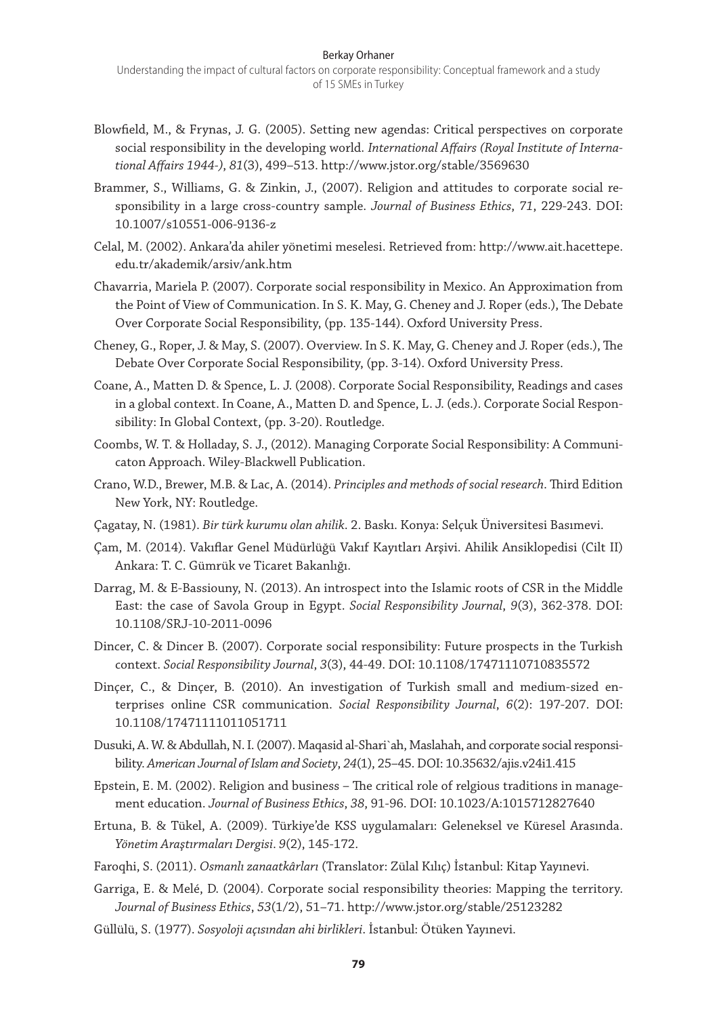- Blowfield, M., & Frynas, J. G. (2005). Setting new agendas: Critical perspectives on corporate social responsibility in the developing world. *International Affairs (Royal Institute of International Affairs 1944-)*, *81*(3), 499–513. http://www.jstor.org/stable/3569630
- Brammer, S., Williams, G. & Zinkin, J., (2007). Religion and attitudes to corporate social responsibility in a large cross-country sample. *Journal of Business Ethics*, *71*, 229-243. DOI: 10.1007/s10551-006-9136-z
- Celal, M. (2002). Ankara'da ahiler yönetimi meselesi. Retrieved from: http://www.ait.hacettepe. edu.tr/akademik/arsiv/ank.htm
- Chavarria, Mariela P. (2007). Corporate social responsibility in Mexico. An Approximation from the Point of View of Communication. In S. K. May, G. Cheney and J. Roper (eds.), The Debate Over Corporate Social Responsibility, (pp. 135-144). Oxford University Press.
- Cheney, G., Roper, J. & May, S. (2007). Overview. In S. K. May, G. Cheney and J. Roper (eds.), The Debate Over Corporate Social Responsibility, (pp. 3-14). Oxford University Press.
- Coane, A., Matten D. & Spence, L. J. (2008). Corporate Social Responsibility, Readings and cases in a global context. In Coane, A., Matten D. and Spence, L. J. (eds.). Corporate Social Responsibility: In Global Context, (pp. 3-20). Routledge.
- Coombs, W. T. & Holladay, S. J., (2012). Managing Corporate Social Responsibility: A Communicaton Approach. Wiley-Blackwell Publication.
- Crano, W.D., Brewer, M.B. & Lac, A. (2014). *Principles and methods of social research*. Third Edition New York, NY: Routledge.
- Çagatay, N. (1981). *Bir türk kurumu olan ahilik*. 2. Baskı. Konya: Selçuk Üniversitesi Basımevi.
- Çam, M. (2014). Vakıflar Genel Müdürlüğü Vakıf Kayıtları Arşivi. Ahilik Ansiklopedisi (Cilt II) Ankara: T. C. Gümrük ve Ticaret Bakanlığı.
- Darrag, M. & E‐Bassiouny, N. (2013). An introspect into the Islamic roots of CSR in the Middle East: the case of Savola Group in Egypt. *Social Responsibility Journal*, *9*(3), 362-378. DOI: 10.1108/SRJ-10-2011-0096
- Dincer, C. & Dincer B. (2007). Corporate social responsibility: Future prospects in the Turkish context. *Social Responsibility Journal*, *3*(3), 44-49. DOI: 10.1108/17471110710835572
- Dinçer, C., & Dinçer, B. (2010). An investigation of Turkish small and medium-sized enterprises online CSR communication. *Social Responsibility Journal*, *6*(2): 197-207. DOI: 10.1108/17471111011051711
- Dusuki, A. W. & Abdullah, N. I. (2007). Maqasid al-Shari`ah, Maslahah, and corporate social responsibility. *American Journal of Islam and Society*, *24*(1), 25–45. DOI: 10.35632/ajis.v24i1.415
- Epstein, E. M. (2002). Religion and business The critical role of relgious traditions in management education. *Journal of Business Ethics*, *38*, 91-96. DOI: 10.1023/A:1015712827640
- Ertuna, B. & Tükel, A. (2009). Türkiye'de KSS uygulamaları: Geleneksel ve Küresel Arasında. *Yönetim Araştırmaları Dergisi*. *9*(2), 145-172.
- Faroqhi, S. (2011). *Osmanlı zanaatkârları* (Translator: Zülal Kılıç) İstanbul: Kitap Yayınevi.
- Garriga, E. & Melé, D. (2004). Corporate social responsibility theories: Mapping the territory. *Journal of Business Ethics*, *53*(1/2), 51–71. http://www.jstor.org/stable/25123282
- Güllülü, S. (1977). *Sosyoloji açısından ahi birlikleri*. İstanbul: Ötüken Yayınevi.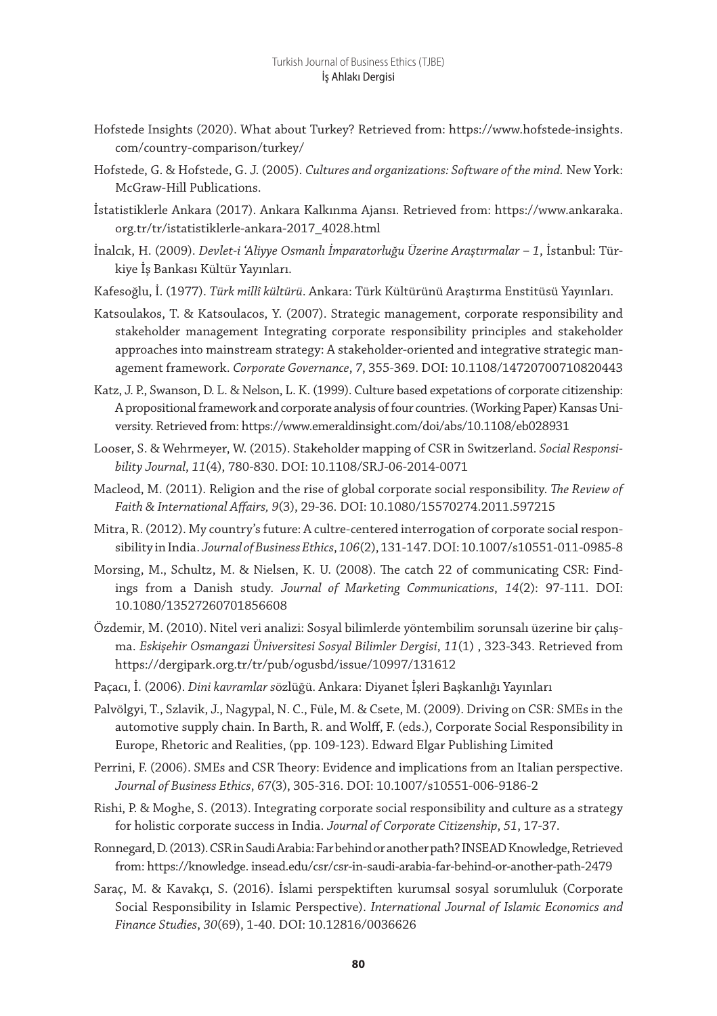- Hofstede Insights (2020). What about Turkey? Retrieved from: https://www.hofstede-insights. com/country-comparison/turkey/
- Hofstede, G. & Hofstede, G. J. (2005). *Cultures and organizations: Software of the mind.* New York: McGraw-Hill Publications.
- İstatistiklerle Ankara (2017). Ankara Kalkınma Ajansı. Retrieved from: https://www.ankaraka. org.tr/tr/istatistiklerle-ankara-2017\_4028.html
- İnalcık, H. (2009). *Devlet-i 'Aliyye Osmanlı İmparatorluğu Üzerine Araştırmalar 1*, İstanbul: Türkiye İş Bankası Kültür Yayınları.
- Kafesoğlu, İ. (1977). *Türk millî kültürü*. Ankara: Türk Kültürünü Araştırma Enstitüsü Yayınları.
- Katsoulakos, T. & Katsoulacos, Y. (2007). Strategic management, corporate responsibility and stakeholder management Integrating corporate responsibility principles and stakeholder approaches into mainstream strategy: A stakeholder-oriented and integrative strategic management framework. *Corporate Governance*, *7*, 355-369. DOI: 10.1108/14720700710820443
- Katz, J. P., Swanson, D. L. & Nelson, L. K. (1999). Culture based expetations of corporate citizenship: A propositional framework and corporate analysis of four countries. (Working Paper) Kansas University. Retrieved from: https://www.emeraldinsight.com/doi/abs/10.1108/eb028931
- Looser, S. & Wehrmeyer, W. (2015). Stakeholder mapping of CSR in Switzerland. *Social Responsibility Journal*, *11*(4), 780-830. DOI: 10.1108/SRJ-06-2014-0071
- Macleod, M. (2011). Religion and the rise of global corporate social responsibility. *The Review of Faith & International Affairs, 9*(3), 29-36. DOI: 10.1080/15570274.2011.597215
- Mitra, R. (2012). My country's future: A cultre-centered interrogation of corporate social responsibility in India. *Journal of Business Ethics*, *106*(2), 131-147. DOI: 10.1007/s10551-011-0985-8
- Morsing, M., Schultz, M. & Nielsen, K. U. (2008). The catch 22 of communicating CSR: Findings from a Danish study. *Journal of Marketing Communications*, *14*(2): 97-111. DOI: 10.1080/13527260701856608
- Özdemir, M. (2010). Nitel veri analizi: Sosyal bilimlerde yöntembilim sorunsalı üzerine bir çalışma. *Eskişehir Osmangazi Üniversitesi Sosyal Bilimler Dergisi*, *11*(1) , 323-343. Retrieved from https://dergipark.org.tr/tr/pub/ogusbd/issue/10997/131612
- Paçacı, İ. (2006). *Dini kavramlar s*özlüğü. Ankara: Diyanet İşleri Başkanlığı Yayınları
- Palvölgyi, T., Szlavik, J., Nagypal, N. C., Füle, M. & Csete, M. (2009). Driving on CSR: SMEs in the automotive supply chain. In Barth, R. and Wolff, F. (eds.), Corporate Social Responsibility in Europe, Rhetoric and Realities, (pp. 109-123). Edward Elgar Publishing Limited
- Perrini, F. (2006). SMEs and CSR Theory: Evidence and implications from an Italian perspective. *Journal of Business Ethics*, *67*(3), 305-316. DOI: 10.1007/s10551-006-9186-2
- Rishi, P. & Moghe, S. (2013). Integrating corporate social responsibility and culture as a strategy for holistic corporate success in India. *Journal of Corporate Citizenship*, *51*, 17-37.
- Ronnegard, D. (2013). CSR in Saudi Arabia: Far behind or another path? INSEAD Knowledge, Retrieved from: https://knowledge. insead.edu/csr/csr-in-saudi-arabia-far-behind-or-another-path-2479
- Saraç, M. & Kavakçı, S. (2016). İslami perspektiften kurumsal sosyal sorumluluk (Corporate Social Responsibility in Islamic Perspective). *International Journal of Islamic Economics and Finance Studies*, *30*(69), 1-40. DOI: 10.12816/0036626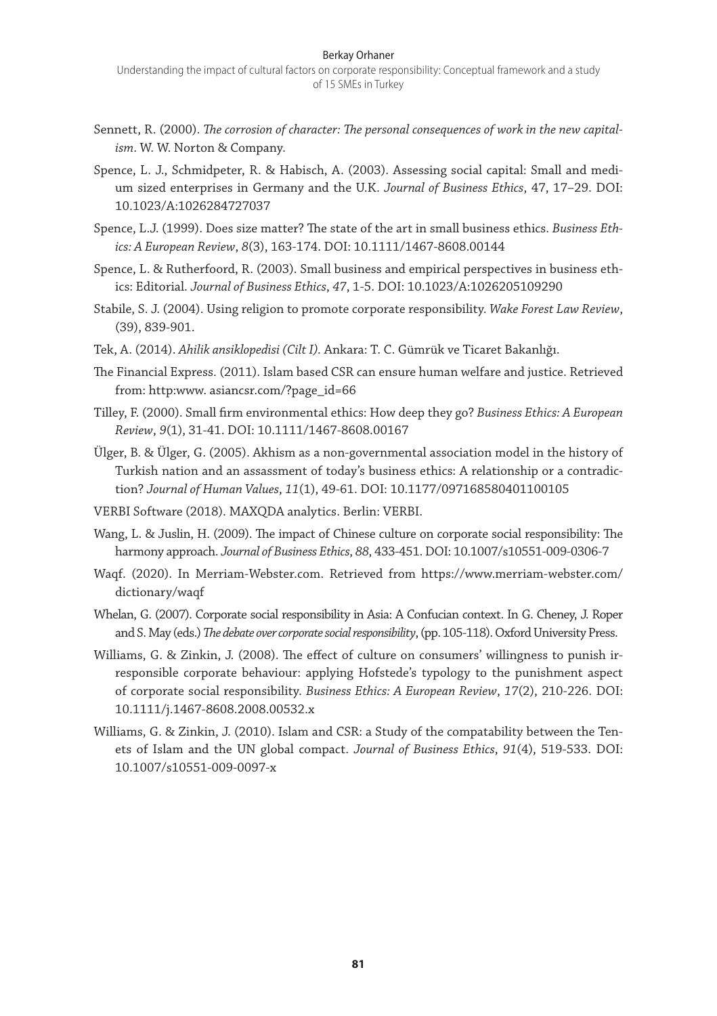#### Berkay Orhaner

- Sennett, R. (2000). *The corrosion of character: The personal consequences of work in the new capitalism*. W. W. Norton & Company.
- Spence, L. J., Schmidpeter, R. & Habisch, A. (2003). Assessing social capital: Small and medium sized enterprises in Germany and the U.K. *Journal of Business Ethics*, 47, 17–29. DOI: 10.1023/A:1026284727037
- Spence, L.J. (1999). Does size matter? The state of the art in small business ethics. *Business Ethics: A European Review*, *8*(3), 163-174. DOI: 10.1111/1467-8608.00144
- Spence, L. & Rutherfoord, R. (2003). Small business and empirical perspectives in business ethics: Editorial. *Journal of Business Ethics*, *47*, 1-5. DOI: 10.1023/A:1026205109290
- Stabile, S. J. (2004). Using religion to promote corporate responsibility. *Wake Forest Law Review*, (39), 839-901.
- Tek, A. (2014). *Ahilik ansiklopedisi (Cilt I).* Ankara: T. C. Gümrük ve Ticaret Bakanlığı.
- The Financial Express. (2011). Islam based CSR can ensure human welfare and justice. Retrieved from: http:www. asiancsr.com/?page\_id=66
- Tilley, F. (2000). Small firm environmental ethics: How deep they go? *Business Ethics: A European Review*, *9*(1), 31-41. DOI: 10.1111/1467-8608.00167
- Ülger, B. & Ülger, G. (2005). Akhism as a non-governmental association model in the history of Turkish nation and an assassment of today's business ethics: A relationship or a contradiction? *Journal of Human Values*, *11*(1), 49-61. DOI: 10.1177/097168580401100105
- VERBI Software (2018). MAXQDA analytics. Berlin: VERBI.
- Wang, L. & Juslin, H. (2009). The impact of Chinese culture on corporate social responsibility: The harmony approach. *Journal of Business Ethics*, *88*, 433-451. DOI: 10.1007/s10551-009-0306-7
- Waqf. (2020). In Merriam-Webster.com. Retrieved from https://www.merriam-webster.com/ dictionary/waqf
- Whelan, G. (2007). Corporate social responsibility in Asia: A Confucian context. In G. Cheney, J. Roper and S. May (eds.) *The debate over corporate social responsibility*, (pp. 105-118). Oxford University Press.
- Williams, G. & Zinkin, J. (2008). The effect of culture on consumers' willingness to punish irresponsible corporate behaviour: applying Hofstede's typology to the punishment aspect of corporate social responsibility. *Business Ethics: A European Review*, *17*(2), 210-226. DOI: 10.1111/j.1467-8608.2008.00532.x
- Williams, G. & Zinkin, J. (2010). Islam and CSR: a Study of the compatability between the Tenets of Islam and the UN global compact. *Journal of Business Ethics*, *91*(4), 519-533. DOI: 10.1007/s10551-009-0097-x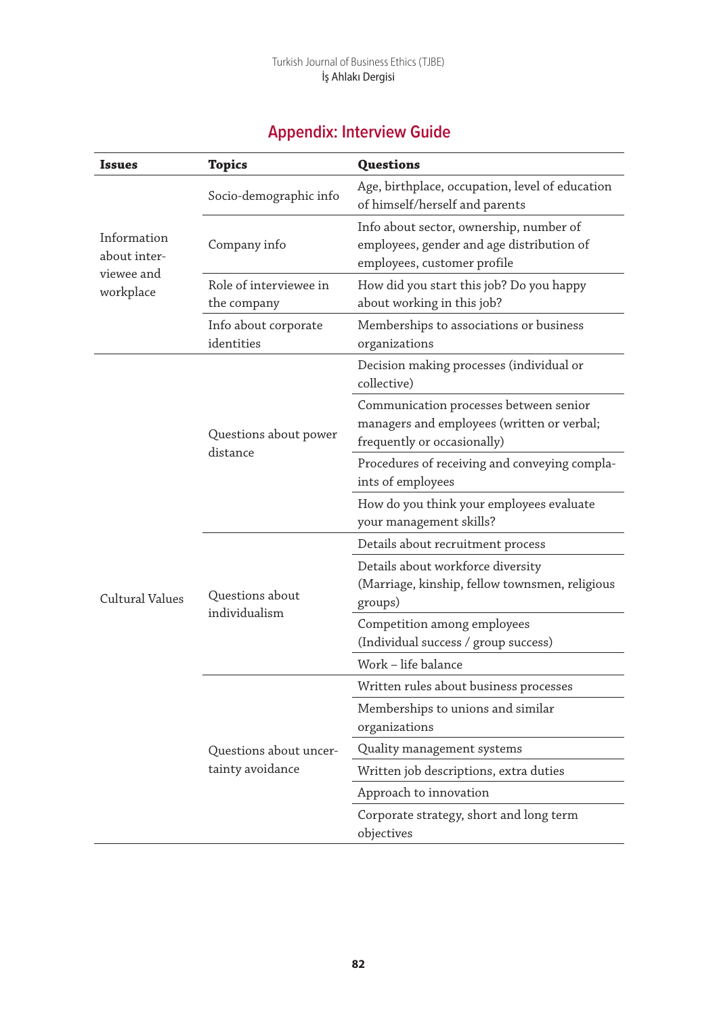| <b>Appendix: Interview Guide</b> |  |
|----------------------------------|--|
|                                  |  |

| <b>Issues</b>                                          | <b>Topics</b>                         | <b>Questions</b>                                                                                                    |  |  |  |  |  |
|--------------------------------------------------------|---------------------------------------|---------------------------------------------------------------------------------------------------------------------|--|--|--|--|--|
|                                                        | Socio-demographic info                | Age, birthplace, occupation, level of education<br>of himself/herself and parents                                   |  |  |  |  |  |
| Information<br>about inter-<br>viewee and<br>workplace | Company info                          | Info about sector, ownership, number of<br>employees, gender and age distribution of<br>employees, customer profile |  |  |  |  |  |
|                                                        | Role of interviewee in<br>the company | How did you start this job? Do you happy<br>about working in this job?                                              |  |  |  |  |  |
|                                                        | Info about corporate<br>identities    | Memberships to associations or business<br>organizations                                                            |  |  |  |  |  |
|                                                        |                                       | Decision making processes (individual or<br>collective)                                                             |  |  |  |  |  |
|                                                        | Questions about power                 | Communication processes between senior<br>managers and employees (written or verbal;<br>frequently or occasionally) |  |  |  |  |  |
|                                                        | distance                              | Procedures of receiving and conveying compla-<br>ints of employees                                                  |  |  |  |  |  |
|                                                        |                                       | How do you think your employees evaluate<br>your management skills?                                                 |  |  |  |  |  |
|                                                        |                                       | Details about recruitment process                                                                                   |  |  |  |  |  |
| Cultural Values                                        | Questions about                       | Details about workforce diversity<br>(Marriage, kinship, fellow townsmen, religious<br>groups)                      |  |  |  |  |  |
|                                                        | individualism                         | Competition among employees<br>(Individual success / group success)                                                 |  |  |  |  |  |
|                                                        |                                       | Work – life balance                                                                                                 |  |  |  |  |  |
|                                                        |                                       | Written rules about business processes                                                                              |  |  |  |  |  |
|                                                        |                                       | Memberships to unions and similar<br>organizations                                                                  |  |  |  |  |  |
|                                                        | Questions about uncer-                | Quality management systems                                                                                          |  |  |  |  |  |
|                                                        | tainty avoidance                      | Written job descriptions, extra duties                                                                              |  |  |  |  |  |
|                                                        |                                       | Approach to innovation                                                                                              |  |  |  |  |  |
|                                                        |                                       | Corporate strategy, short and long term<br>objectives                                                               |  |  |  |  |  |